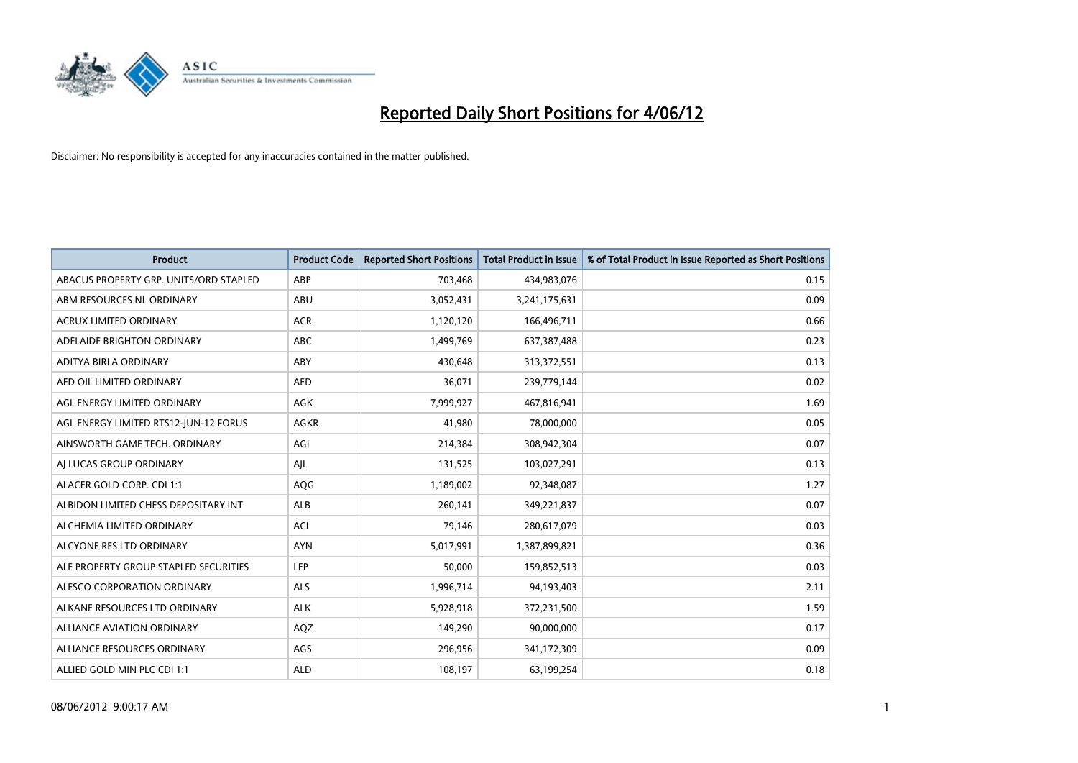

| <b>Product</b>                         | <b>Product Code</b> | <b>Reported Short Positions</b> | <b>Total Product in Issue</b> | % of Total Product in Issue Reported as Short Positions |
|----------------------------------------|---------------------|---------------------------------|-------------------------------|---------------------------------------------------------|
| ABACUS PROPERTY GRP. UNITS/ORD STAPLED | ABP                 | 703,468                         | 434,983,076                   | 0.15                                                    |
| ABM RESOURCES NL ORDINARY              | ABU                 | 3,052,431                       | 3,241,175,631                 | 0.09                                                    |
| <b>ACRUX LIMITED ORDINARY</b>          | <b>ACR</b>          | 1,120,120                       | 166,496,711                   | 0.66                                                    |
| ADELAIDE BRIGHTON ORDINARY             | <b>ABC</b>          | 1,499,769                       | 637,387,488                   | 0.23                                                    |
| ADITYA BIRLA ORDINARY                  | ABY                 | 430,648                         | 313,372,551                   | 0.13                                                    |
| AED OIL LIMITED ORDINARY               | <b>AED</b>          | 36,071                          | 239,779,144                   | 0.02                                                    |
| AGL ENERGY LIMITED ORDINARY            | AGK                 | 7,999,927                       | 467,816,941                   | 1.69                                                    |
| AGL ENERGY LIMITED RTS12-JUN-12 FORUS  | <b>AGKR</b>         | 41,980                          | 78,000,000                    | 0.05                                                    |
| AINSWORTH GAME TECH. ORDINARY          | AGI                 | 214,384                         | 308,942,304                   | 0.07                                                    |
| AI LUCAS GROUP ORDINARY                | AJL                 | 131,525                         | 103,027,291                   | 0.13                                                    |
| ALACER GOLD CORP. CDI 1:1              | AQG                 | 1,189,002                       | 92,348,087                    | 1.27                                                    |
| ALBIDON LIMITED CHESS DEPOSITARY INT   | <b>ALB</b>          | 260,141                         | 349,221,837                   | 0.07                                                    |
| ALCHEMIA LIMITED ORDINARY              | <b>ACL</b>          | 79,146                          | 280,617,079                   | 0.03                                                    |
| ALCYONE RES LTD ORDINARY               | <b>AYN</b>          | 5,017,991                       | 1,387,899,821                 | 0.36                                                    |
| ALE PROPERTY GROUP STAPLED SECURITIES  | <b>LEP</b>          | 50,000                          | 159,852,513                   | 0.03                                                    |
| ALESCO CORPORATION ORDINARY            | ALS                 | 1,996,714                       | 94,193,403                    | 2.11                                                    |
| ALKANE RESOURCES LTD ORDINARY          | <b>ALK</b>          | 5,928,918                       | 372,231,500                   | 1.59                                                    |
| ALLIANCE AVIATION ORDINARY             | AQZ                 | 149,290                         | 90,000,000                    | 0.17                                                    |
| ALLIANCE RESOURCES ORDINARY            | AGS                 | 296,956                         | 341,172,309                   | 0.09                                                    |
| ALLIED GOLD MIN PLC CDI 1:1            | <b>ALD</b>          | 108,197                         | 63,199,254                    | 0.18                                                    |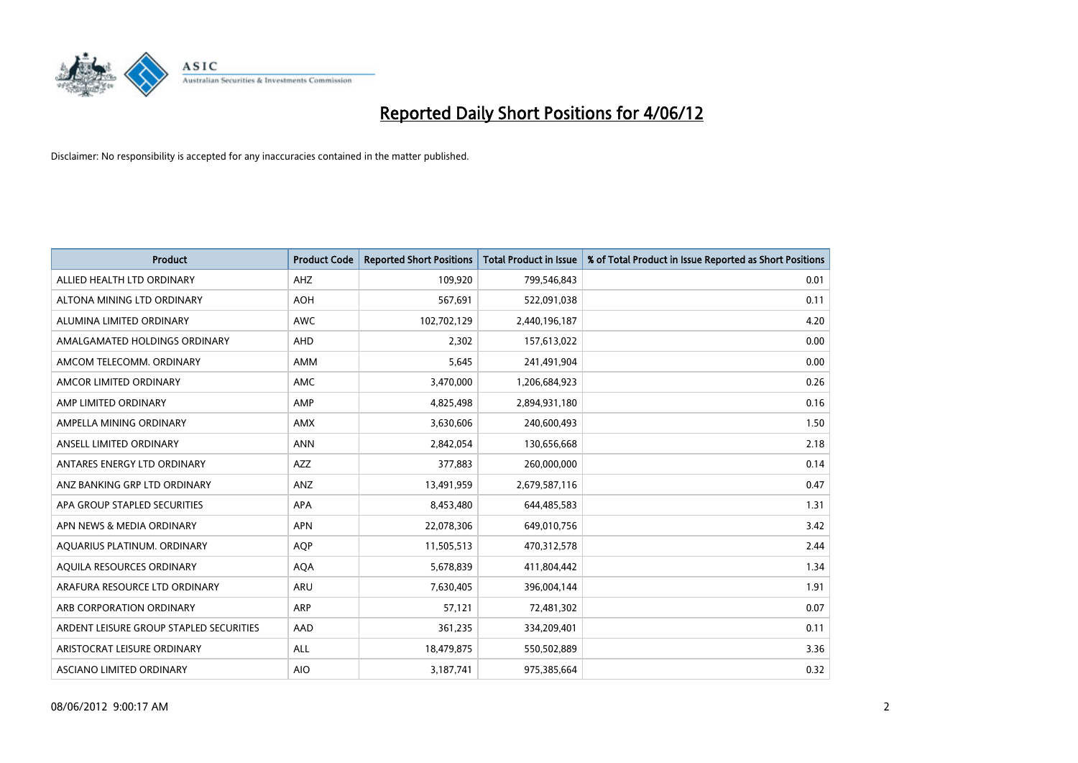

| <b>Product</b>                          | <b>Product Code</b> | <b>Reported Short Positions</b> | <b>Total Product in Issue</b> | % of Total Product in Issue Reported as Short Positions |
|-----------------------------------------|---------------------|---------------------------------|-------------------------------|---------------------------------------------------------|
| ALLIED HEALTH LTD ORDINARY              | AHZ                 | 109,920                         | 799,546,843                   | 0.01                                                    |
| ALTONA MINING LTD ORDINARY              | <b>AOH</b>          | 567,691                         | 522,091,038                   | 0.11                                                    |
| ALUMINA LIMITED ORDINARY                | <b>AWC</b>          | 102,702,129                     | 2,440,196,187                 | 4.20                                                    |
| AMALGAMATED HOLDINGS ORDINARY           | <b>AHD</b>          | 2,302                           | 157,613,022                   | 0.00                                                    |
| AMCOM TELECOMM, ORDINARY                | AMM                 | 5,645                           | 241,491,904                   | 0.00                                                    |
| AMCOR LIMITED ORDINARY                  | AMC                 | 3,470,000                       | 1,206,684,923                 | 0.26                                                    |
| AMP LIMITED ORDINARY                    | AMP                 | 4,825,498                       | 2,894,931,180                 | 0.16                                                    |
| AMPELLA MINING ORDINARY                 | <b>AMX</b>          | 3,630,606                       | 240,600,493                   | 1.50                                                    |
| ANSELL LIMITED ORDINARY                 | <b>ANN</b>          | 2,842,054                       | 130,656,668                   | 2.18                                                    |
| ANTARES ENERGY LTD ORDINARY             | <b>AZZ</b>          | 377,883                         | 260,000,000                   | 0.14                                                    |
| ANZ BANKING GRP LTD ORDINARY            | ANZ                 | 13,491,959                      | 2,679,587,116                 | 0.47                                                    |
| APA GROUP STAPLED SECURITIES            | APA                 | 8,453,480                       | 644,485,583                   | 1.31                                                    |
| APN NEWS & MEDIA ORDINARY               | <b>APN</b>          | 22,078,306                      | 649,010,756                   | 3.42                                                    |
| AQUARIUS PLATINUM. ORDINARY             | <b>AOP</b>          | 11,505,513                      | 470,312,578                   | 2.44                                                    |
| AQUILA RESOURCES ORDINARY               | <b>AQA</b>          | 5,678,839                       | 411,804,442                   | 1.34                                                    |
| ARAFURA RESOURCE LTD ORDINARY           | ARU                 | 7,630,405                       | 396,004,144                   | 1.91                                                    |
| ARB CORPORATION ORDINARY                | ARP                 | 57,121                          | 72,481,302                    | 0.07                                                    |
| ARDENT LEISURE GROUP STAPLED SECURITIES | AAD                 | 361,235                         | 334,209,401                   | 0.11                                                    |
| ARISTOCRAT LEISURE ORDINARY             | ALL                 | 18,479,875                      | 550,502,889                   | 3.36                                                    |
| ASCIANO LIMITED ORDINARY                | <b>AIO</b>          | 3,187,741                       | 975,385,664                   | 0.32                                                    |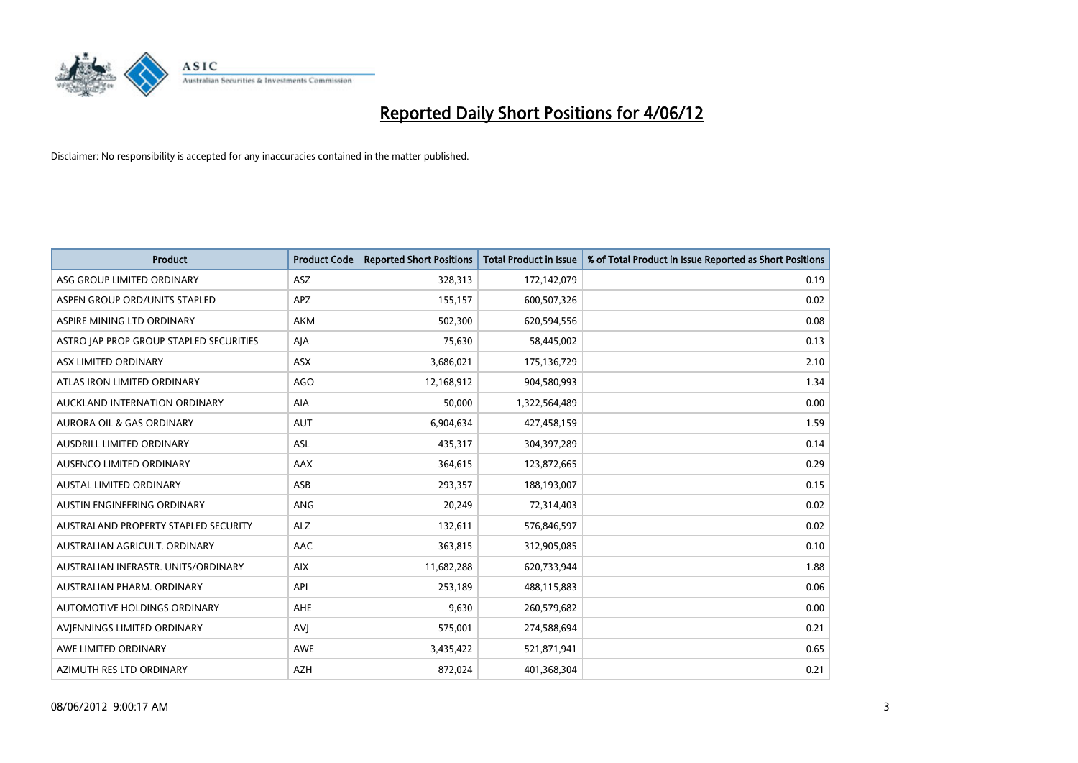

| <b>Product</b>                          | <b>Product Code</b> | <b>Reported Short Positions</b> | <b>Total Product in Issue</b> | % of Total Product in Issue Reported as Short Positions |
|-----------------------------------------|---------------------|---------------------------------|-------------------------------|---------------------------------------------------------|
| ASG GROUP LIMITED ORDINARY              | <b>ASZ</b>          | 328,313                         | 172,142,079                   | 0.19                                                    |
| ASPEN GROUP ORD/UNITS STAPLED           | <b>APZ</b>          | 155,157                         | 600,507,326                   | 0.02                                                    |
| ASPIRE MINING LTD ORDINARY              | <b>AKM</b>          | 502,300                         | 620,594,556                   | 0.08                                                    |
| ASTRO JAP PROP GROUP STAPLED SECURITIES | AJA                 | 75,630                          | 58,445,002                    | 0.13                                                    |
| ASX LIMITED ORDINARY                    | ASX                 | 3,686,021                       | 175,136,729                   | 2.10                                                    |
| ATLAS IRON LIMITED ORDINARY             | <b>AGO</b>          | 12,168,912                      | 904,580,993                   | 1.34                                                    |
| AUCKLAND INTERNATION ORDINARY           | AIA                 | 50,000                          | 1,322,564,489                 | 0.00                                                    |
| AURORA OIL & GAS ORDINARY               | AUT                 | 6,904,634                       | 427,458,159                   | 1.59                                                    |
| AUSDRILL LIMITED ORDINARY               | ASL                 | 435,317                         | 304,397,289                   | 0.14                                                    |
| AUSENCO LIMITED ORDINARY                | AAX                 | 364,615                         | 123,872,665                   | 0.29                                                    |
| AUSTAL LIMITED ORDINARY                 | ASB                 | 293,357                         | 188,193,007                   | 0.15                                                    |
| AUSTIN ENGINEERING ORDINARY             | <b>ANG</b>          | 20,249                          | 72,314,403                    | 0.02                                                    |
| AUSTRALAND PROPERTY STAPLED SECURITY    | <b>ALZ</b>          | 132,611                         | 576,846,597                   | 0.02                                                    |
| AUSTRALIAN AGRICULT, ORDINARY           | AAC                 | 363,815                         | 312,905,085                   | 0.10                                                    |
| AUSTRALIAN INFRASTR, UNITS/ORDINARY     | <b>AIX</b>          | 11,682,288                      | 620,733,944                   | 1.88                                                    |
| AUSTRALIAN PHARM. ORDINARY              | API                 | 253,189                         | 488,115,883                   | 0.06                                                    |
| AUTOMOTIVE HOLDINGS ORDINARY            | AHE                 | 9,630                           | 260,579,682                   | 0.00                                                    |
| AVJENNINGS LIMITED ORDINARY             | <b>AVJ</b>          | 575,001                         | 274,588,694                   | 0.21                                                    |
| AWE LIMITED ORDINARY                    | <b>AWE</b>          | 3,435,422                       | 521,871,941                   | 0.65                                                    |
| AZIMUTH RES LTD ORDINARY                | <b>AZH</b>          | 872,024                         | 401,368,304                   | 0.21                                                    |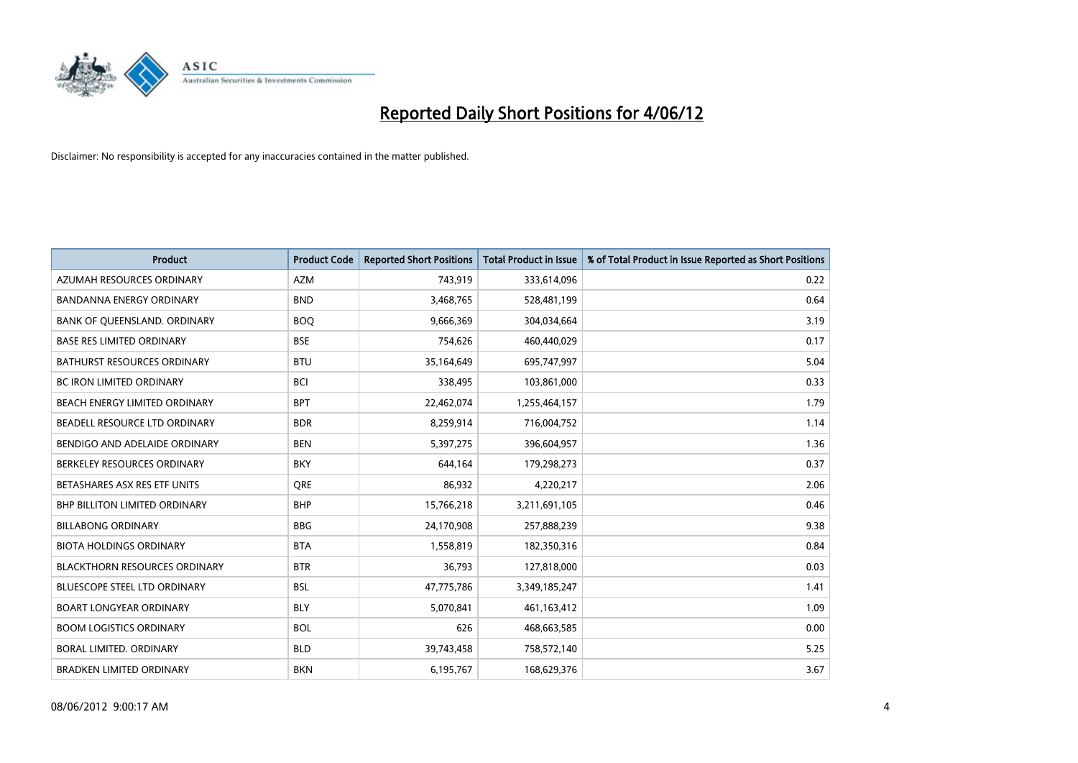

| <b>Product</b>                       | <b>Product Code</b> | <b>Reported Short Positions</b> | <b>Total Product in Issue</b> | % of Total Product in Issue Reported as Short Positions |
|--------------------------------------|---------------------|---------------------------------|-------------------------------|---------------------------------------------------------|
| AZUMAH RESOURCES ORDINARY            | <b>AZM</b>          | 743,919                         | 333,614,096                   | 0.22                                                    |
| BANDANNA ENERGY ORDINARY             | <b>BND</b>          | 3,468,765                       | 528,481,199                   | 0.64                                                    |
| BANK OF QUEENSLAND. ORDINARY         | <b>BOQ</b>          | 9,666,369                       | 304,034,664                   | 3.19                                                    |
| <b>BASE RES LIMITED ORDINARY</b>     | <b>BSE</b>          | 754,626                         | 460,440,029                   | 0.17                                                    |
| <b>BATHURST RESOURCES ORDINARY</b>   | <b>BTU</b>          | 35,164,649                      | 695,747,997                   | 5.04                                                    |
| <b>BC IRON LIMITED ORDINARY</b>      | <b>BCI</b>          | 338,495                         | 103,861,000                   | 0.33                                                    |
| BEACH ENERGY LIMITED ORDINARY        | <b>BPT</b>          | 22,462,074                      | 1,255,464,157                 | 1.79                                                    |
| BEADELL RESOURCE LTD ORDINARY        | <b>BDR</b>          | 8,259,914                       | 716,004,752                   | 1.14                                                    |
| BENDIGO AND ADELAIDE ORDINARY        | <b>BEN</b>          | 5,397,275                       | 396,604,957                   | 1.36                                                    |
| BERKELEY RESOURCES ORDINARY          | <b>BKY</b>          | 644,164                         | 179,298,273                   | 0.37                                                    |
| BETASHARES ASX RES ETF UNITS         | <b>ORE</b>          | 86,932                          | 4,220,217                     | 2.06                                                    |
| BHP BILLITON LIMITED ORDINARY        | <b>BHP</b>          | 15,766,218                      | 3,211,691,105                 | 0.46                                                    |
| <b>BILLABONG ORDINARY</b>            | <b>BBG</b>          | 24,170,908                      | 257,888,239                   | 9.38                                                    |
| <b>BIOTA HOLDINGS ORDINARY</b>       | <b>BTA</b>          | 1,558,819                       | 182,350,316                   | 0.84                                                    |
| <b>BLACKTHORN RESOURCES ORDINARY</b> | <b>BTR</b>          | 36,793                          | 127,818,000                   | 0.03                                                    |
| BLUESCOPE STEEL LTD ORDINARY         | <b>BSL</b>          | 47,775,786                      | 3,349,185,247                 | 1.41                                                    |
| <b>BOART LONGYEAR ORDINARY</b>       | <b>BLY</b>          | 5,070,841                       | 461,163,412                   | 1.09                                                    |
| <b>BOOM LOGISTICS ORDINARY</b>       | <b>BOL</b>          | 626                             | 468,663,585                   | 0.00                                                    |
| <b>BORAL LIMITED, ORDINARY</b>       | <b>BLD</b>          | 39,743,458                      | 758,572,140                   | 5.25                                                    |
| <b>BRADKEN LIMITED ORDINARY</b>      | <b>BKN</b>          | 6,195,767                       | 168,629,376                   | 3.67                                                    |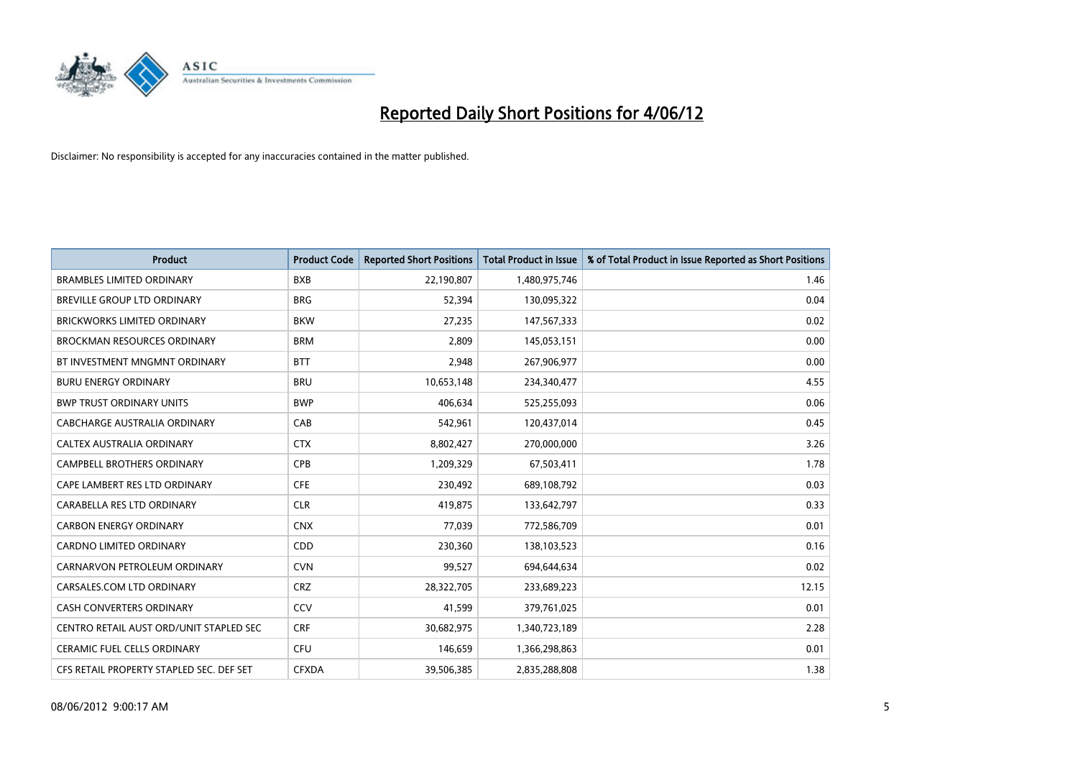

| <b>Product</b>                           | <b>Product Code</b> | <b>Reported Short Positions</b> | <b>Total Product in Issue</b> | % of Total Product in Issue Reported as Short Positions |
|------------------------------------------|---------------------|---------------------------------|-------------------------------|---------------------------------------------------------|
| <b>BRAMBLES LIMITED ORDINARY</b>         | <b>BXB</b>          | 22,190,807                      | 1,480,975,746                 | 1.46                                                    |
| BREVILLE GROUP LTD ORDINARY              | <b>BRG</b>          | 52,394                          | 130,095,322                   | 0.04                                                    |
| <b>BRICKWORKS LIMITED ORDINARY</b>       | <b>BKW</b>          | 27,235                          | 147,567,333                   | 0.02                                                    |
| <b>BROCKMAN RESOURCES ORDINARY</b>       | <b>BRM</b>          | 2,809                           | 145,053,151                   | 0.00                                                    |
| BT INVESTMENT MNGMNT ORDINARY            | <b>BTT</b>          | 2,948                           | 267,906,977                   | 0.00                                                    |
| <b>BURU ENERGY ORDINARY</b>              | <b>BRU</b>          | 10,653,148                      | 234,340,477                   | 4.55                                                    |
| <b>BWP TRUST ORDINARY UNITS</b>          | <b>BWP</b>          | 406,634                         | 525,255,093                   | 0.06                                                    |
| <b>CABCHARGE AUSTRALIA ORDINARY</b>      | CAB                 | 542,961                         | 120,437,014                   | 0.45                                                    |
| CALTEX AUSTRALIA ORDINARY                | <b>CTX</b>          | 8,802,427                       | 270,000,000                   | 3.26                                                    |
| CAMPBELL BROTHERS ORDINARY               | CPB                 | 1,209,329                       | 67,503,411                    | 1.78                                                    |
| CAPE LAMBERT RES LTD ORDINARY            | <b>CFE</b>          | 230,492                         | 689,108,792                   | 0.03                                                    |
| CARABELLA RES LTD ORDINARY               | <b>CLR</b>          | 419,875                         | 133,642,797                   | 0.33                                                    |
| <b>CARBON ENERGY ORDINARY</b>            | <b>CNX</b>          | 77,039                          | 772,586,709                   | 0.01                                                    |
| <b>CARDNO LIMITED ORDINARY</b>           | CDD                 | 230,360                         | 138,103,523                   | 0.16                                                    |
| CARNARVON PETROLEUM ORDINARY             | <b>CVN</b>          | 99,527                          | 694,644,634                   | 0.02                                                    |
| CARSALES.COM LTD ORDINARY                | <b>CRZ</b>          | 28,322,705                      | 233,689,223                   | 12.15                                                   |
| <b>CASH CONVERTERS ORDINARY</b>          | CCV                 | 41,599                          | 379,761,025                   | 0.01                                                    |
| CENTRO RETAIL AUST ORD/UNIT STAPLED SEC  | <b>CRF</b>          | 30,682,975                      | 1,340,723,189                 | 2.28                                                    |
| <b>CERAMIC FUEL CELLS ORDINARY</b>       | <b>CFU</b>          | 146,659                         | 1,366,298,863                 | 0.01                                                    |
| CFS RETAIL PROPERTY STAPLED SEC. DEF SET | <b>CFXDA</b>        | 39,506,385                      | 2,835,288,808                 | 1.38                                                    |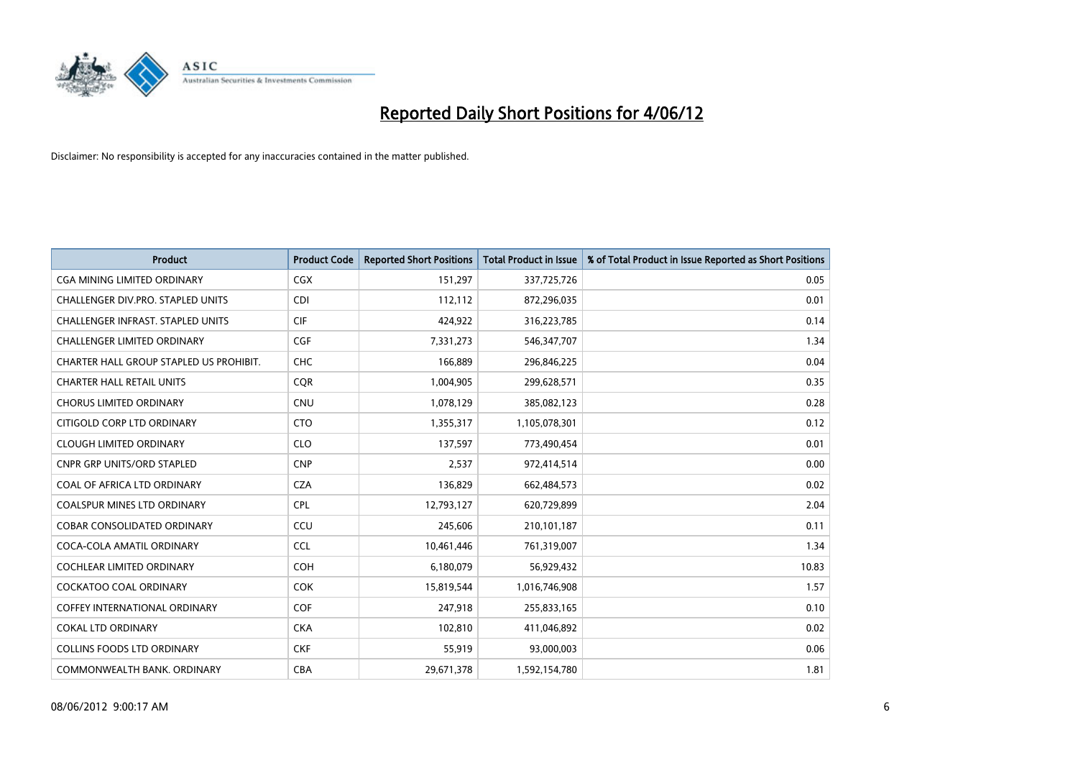

| <b>Product</b>                           | <b>Product Code</b> | <b>Reported Short Positions</b> | <b>Total Product in Issue</b> | % of Total Product in Issue Reported as Short Positions |
|------------------------------------------|---------------------|---------------------------------|-------------------------------|---------------------------------------------------------|
| <b>CGA MINING LIMITED ORDINARY</b>       | CGX                 | 151,297                         | 337,725,726                   | 0.05                                                    |
| CHALLENGER DIV.PRO. STAPLED UNITS        | <b>CDI</b>          | 112,112                         | 872,296,035                   | 0.01                                                    |
| <b>CHALLENGER INFRAST, STAPLED UNITS</b> | <b>CIF</b>          | 424,922                         | 316,223,785                   | 0.14                                                    |
| CHALLENGER LIMITED ORDINARY              | <b>CGF</b>          | 7,331,273                       | 546, 347, 707                 | 1.34                                                    |
| CHARTER HALL GROUP STAPLED US PROHIBIT.  | <b>CHC</b>          | 166,889                         | 296,846,225                   | 0.04                                                    |
| <b>CHARTER HALL RETAIL UNITS</b>         | <b>CQR</b>          | 1,004,905                       | 299,628,571                   | 0.35                                                    |
| <b>CHORUS LIMITED ORDINARY</b>           | CNU                 | 1,078,129                       | 385,082,123                   | 0.28                                                    |
| CITIGOLD CORP LTD ORDINARY               | <b>CTO</b>          | 1,355,317                       | 1,105,078,301                 | 0.12                                                    |
| <b>CLOUGH LIMITED ORDINARY</b>           | <b>CLO</b>          | 137,597                         | 773,490,454                   | 0.01                                                    |
| <b>CNPR GRP UNITS/ORD STAPLED</b>        | <b>CNP</b>          | 2,537                           | 972,414,514                   | 0.00                                                    |
| COAL OF AFRICA LTD ORDINARY              | <b>CZA</b>          | 136,829                         | 662,484,573                   | 0.02                                                    |
| <b>COALSPUR MINES LTD ORDINARY</b>       | <b>CPL</b>          | 12,793,127                      | 620,729,899                   | 2.04                                                    |
| <b>COBAR CONSOLIDATED ORDINARY</b>       | CCU                 | 245.606                         | 210,101,187                   | 0.11                                                    |
| COCA-COLA AMATIL ORDINARY                | <b>CCL</b>          | 10,461,446                      | 761,319,007                   | 1.34                                                    |
| COCHLEAR LIMITED ORDINARY                | <b>COH</b>          | 6,180,079                       | 56,929,432                    | 10.83                                                   |
| <b>COCKATOO COAL ORDINARY</b>            | <b>COK</b>          | 15,819,544                      | 1,016,746,908                 | 1.57                                                    |
| <b>COFFEY INTERNATIONAL ORDINARY</b>     | <b>COF</b>          | 247,918                         | 255,833,165                   | 0.10                                                    |
| <b>COKAL LTD ORDINARY</b>                | <b>CKA</b>          | 102,810                         | 411,046,892                   | 0.02                                                    |
| <b>COLLINS FOODS LTD ORDINARY</b>        | <b>CKF</b>          | 55,919                          | 93,000,003                    | 0.06                                                    |
| COMMONWEALTH BANK, ORDINARY              | <b>CBA</b>          | 29,671,378                      | 1,592,154,780                 | 1.81                                                    |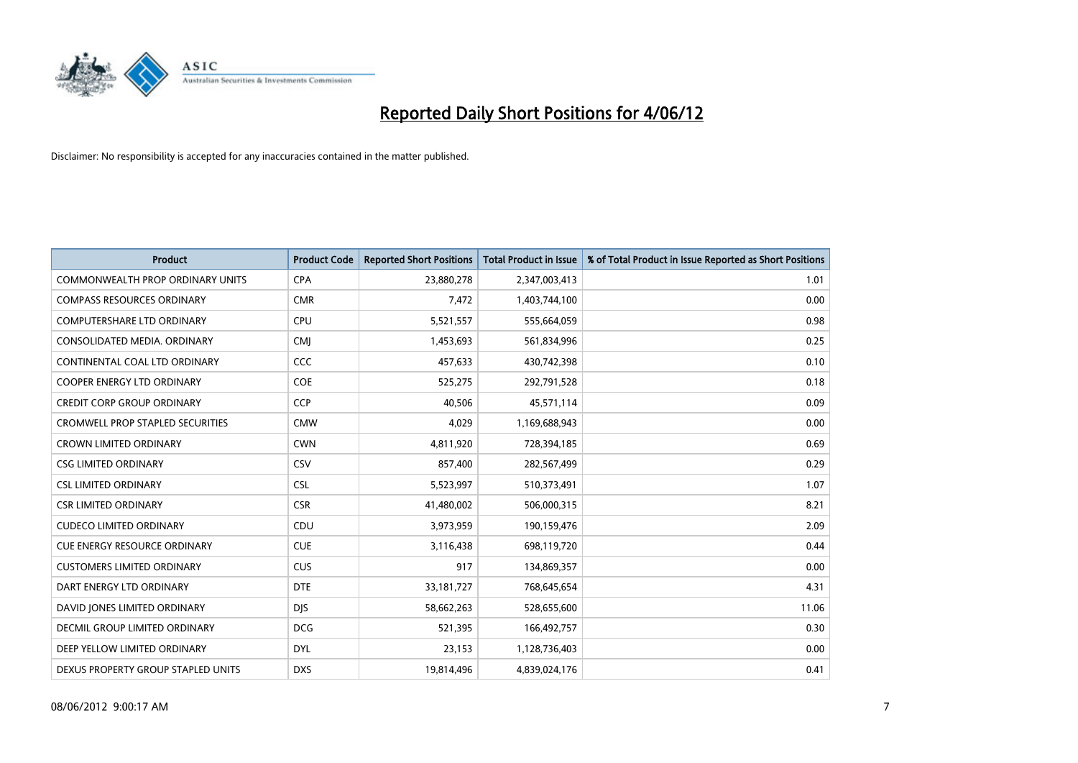

| <b>Product</b>                          | <b>Product Code</b> | <b>Reported Short Positions</b> | <b>Total Product in Issue</b> | % of Total Product in Issue Reported as Short Positions |
|-----------------------------------------|---------------------|---------------------------------|-------------------------------|---------------------------------------------------------|
| <b>COMMONWEALTH PROP ORDINARY UNITS</b> | <b>CPA</b>          | 23,880,278                      | 2,347,003,413                 | 1.01                                                    |
| <b>COMPASS RESOURCES ORDINARY</b>       | <b>CMR</b>          | 7,472                           | 1,403,744,100                 | 0.00                                                    |
| <b>COMPUTERSHARE LTD ORDINARY</b>       | <b>CPU</b>          | 5,521,557                       | 555,664,059                   | 0.98                                                    |
| CONSOLIDATED MEDIA. ORDINARY            | <b>CMI</b>          | 1,453,693                       | 561,834,996                   | 0.25                                                    |
| CONTINENTAL COAL LTD ORDINARY           | <b>CCC</b>          | 457,633                         | 430,742,398                   | 0.10                                                    |
| <b>COOPER ENERGY LTD ORDINARY</b>       | <b>COE</b>          | 525,275                         | 292,791,528                   | 0.18                                                    |
| <b>CREDIT CORP GROUP ORDINARY</b>       | <b>CCP</b>          | 40.506                          | 45,571,114                    | 0.09                                                    |
| <b>CROMWELL PROP STAPLED SECURITIES</b> | <b>CMW</b>          | 4,029                           | 1,169,688,943                 | 0.00                                                    |
| <b>CROWN LIMITED ORDINARY</b>           | <b>CWN</b>          | 4,811,920                       | 728,394,185                   | 0.69                                                    |
| <b>CSG LIMITED ORDINARY</b>             | CSV                 | 857,400                         | 282,567,499                   | 0.29                                                    |
| <b>CSL LIMITED ORDINARY</b>             | <b>CSL</b>          | 5,523,997                       | 510,373,491                   | 1.07                                                    |
| <b>CSR LIMITED ORDINARY</b>             | <b>CSR</b>          | 41,480,002                      | 506,000,315                   | 8.21                                                    |
| <b>CUDECO LIMITED ORDINARY</b>          | CDU                 | 3,973,959                       | 190,159,476                   | 2.09                                                    |
| <b>CUE ENERGY RESOURCE ORDINARY</b>     | <b>CUE</b>          | 3,116,438                       | 698,119,720                   | 0.44                                                    |
| <b>CUSTOMERS LIMITED ORDINARY</b>       | <b>CUS</b>          | 917                             | 134,869,357                   | 0.00                                                    |
| DART ENERGY LTD ORDINARY                | <b>DTE</b>          | 33,181,727                      | 768,645,654                   | 4.31                                                    |
| DAVID JONES LIMITED ORDINARY            | <b>DJS</b>          | 58,662,263                      | 528,655,600                   | 11.06                                                   |
| DECMIL GROUP LIMITED ORDINARY           | <b>DCG</b>          | 521,395                         | 166,492,757                   | 0.30                                                    |
| DEEP YELLOW LIMITED ORDINARY            | <b>DYL</b>          | 23,153                          | 1,128,736,403                 | 0.00                                                    |
| DEXUS PROPERTY GROUP STAPLED UNITS      | <b>DXS</b>          | 19,814,496                      | 4,839,024,176                 | 0.41                                                    |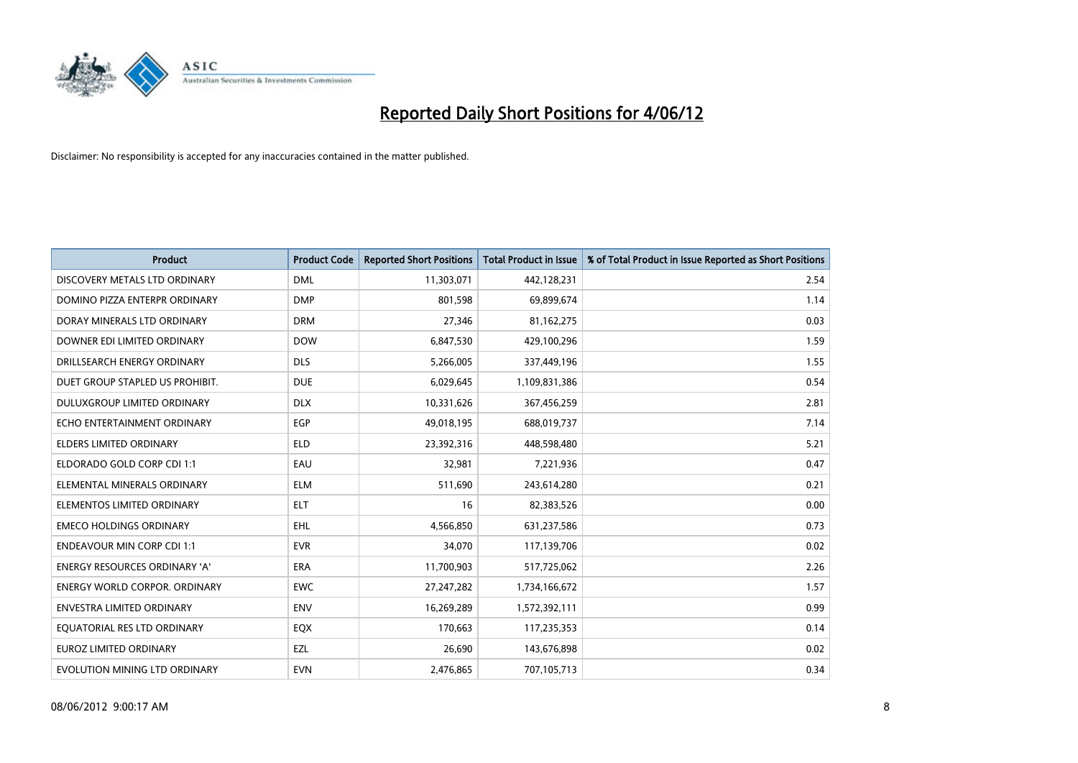

| <b>Product</b>                       | <b>Product Code</b> | <b>Reported Short Positions</b> | <b>Total Product in Issue</b> | % of Total Product in Issue Reported as Short Positions |
|--------------------------------------|---------------------|---------------------------------|-------------------------------|---------------------------------------------------------|
| DISCOVERY METALS LTD ORDINARY        | <b>DML</b>          | 11,303,071                      | 442,128,231                   | 2.54                                                    |
| DOMINO PIZZA ENTERPR ORDINARY        | <b>DMP</b>          | 801,598                         | 69,899,674                    | 1.14                                                    |
| DORAY MINERALS LTD ORDINARY          | <b>DRM</b>          | 27,346                          | 81,162,275                    | 0.03                                                    |
| DOWNER EDI LIMITED ORDINARY          | <b>DOW</b>          | 6,847,530                       | 429,100,296                   | 1.59                                                    |
| DRILLSEARCH ENERGY ORDINARY          | <b>DLS</b>          | 5,266,005                       | 337,449,196                   | 1.55                                                    |
| DUET GROUP STAPLED US PROHIBIT.      | <b>DUE</b>          | 6,029,645                       | 1,109,831,386                 | 0.54                                                    |
| DULUXGROUP LIMITED ORDINARY          | <b>DLX</b>          | 10,331,626                      | 367,456,259                   | 2.81                                                    |
| ECHO ENTERTAINMENT ORDINARY          | <b>EGP</b>          | 49,018,195                      | 688,019,737                   | 7.14                                                    |
| ELDERS LIMITED ORDINARY              | <b>ELD</b>          | 23,392,316                      | 448,598,480                   | 5.21                                                    |
| ELDORADO GOLD CORP CDI 1:1           | EAU                 | 32,981                          | 7,221,936                     | 0.47                                                    |
| ELEMENTAL MINERALS ORDINARY          | <b>ELM</b>          | 511,690                         | 243,614,280                   | 0.21                                                    |
| ELEMENTOS LIMITED ORDINARY           | <b>ELT</b>          | 16                              | 82,383,526                    | 0.00                                                    |
| <b>EMECO HOLDINGS ORDINARY</b>       | <b>EHL</b>          | 4,566,850                       | 631,237,586                   | 0.73                                                    |
| <b>ENDEAVOUR MIN CORP CDI 1:1</b>    | <b>EVR</b>          | 34.070                          | 117,139,706                   | 0.02                                                    |
| ENERGY RESOURCES ORDINARY 'A'        | ERA                 | 11,700,903                      | 517,725,062                   | 2.26                                                    |
| <b>ENERGY WORLD CORPOR, ORDINARY</b> | <b>EWC</b>          | 27,247,282                      | 1,734,166,672                 | 1.57                                                    |
| <b>ENVESTRA LIMITED ORDINARY</b>     | <b>ENV</b>          | 16,269,289                      | 1,572,392,111                 | 0.99                                                    |
| EQUATORIAL RES LTD ORDINARY          | EQX                 | 170,663                         | 117,235,353                   | 0.14                                                    |
| <b>EUROZ LIMITED ORDINARY</b>        | EZL                 | 26,690                          | 143,676,898                   | 0.02                                                    |
| EVOLUTION MINING LTD ORDINARY        | <b>EVN</b>          | 2,476,865                       | 707,105,713                   | 0.34                                                    |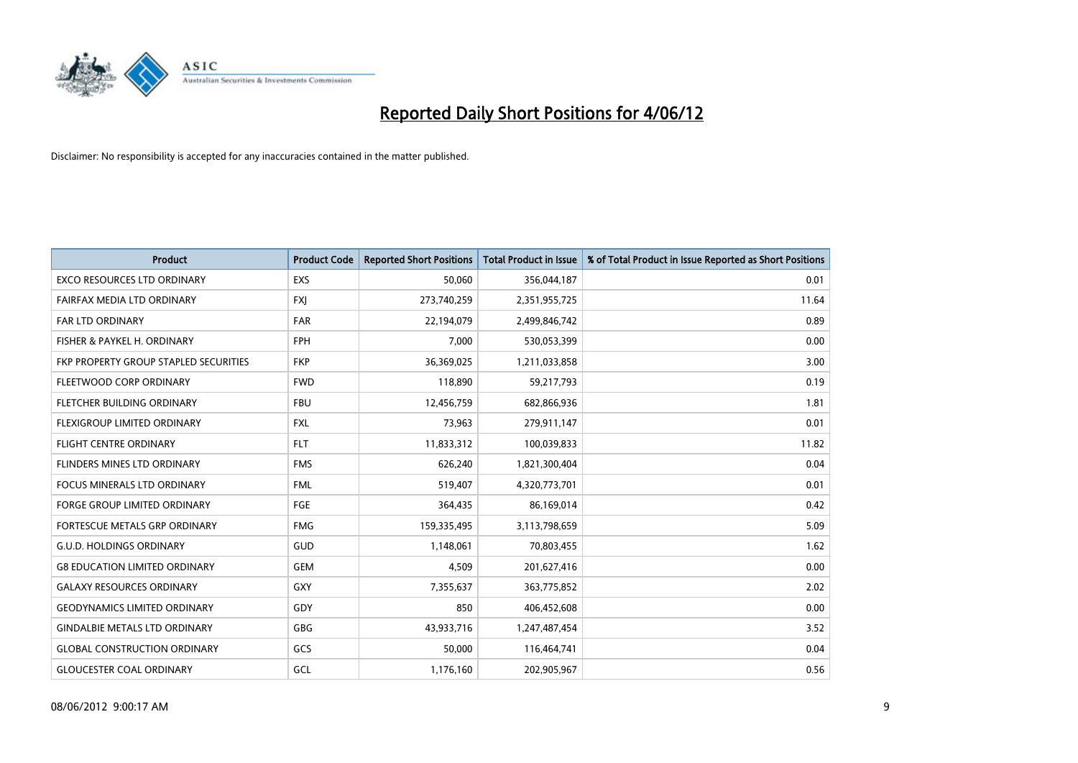

| <b>Product</b>                        | <b>Product Code</b> | <b>Reported Short Positions</b> | <b>Total Product in Issue</b> | % of Total Product in Issue Reported as Short Positions |
|---------------------------------------|---------------------|---------------------------------|-------------------------------|---------------------------------------------------------|
| <b>EXCO RESOURCES LTD ORDINARY</b>    | EXS                 | 50,060                          | 356,044,187                   | 0.01                                                    |
| FAIRFAX MEDIA LTD ORDINARY            | <b>FXI</b>          | 273,740,259                     | 2,351,955,725                 | 11.64                                                   |
| FAR LTD ORDINARY                      | <b>FAR</b>          | 22,194,079                      | 2,499,846,742                 | 0.89                                                    |
| FISHER & PAYKEL H. ORDINARY           | <b>FPH</b>          | 7,000                           | 530,053,399                   | 0.00                                                    |
| FKP PROPERTY GROUP STAPLED SECURITIES | <b>FKP</b>          | 36,369,025                      | 1,211,033,858                 | 3.00                                                    |
| FLEETWOOD CORP ORDINARY               | <b>FWD</b>          | 118,890                         | 59,217,793                    | 0.19                                                    |
| FLETCHER BUILDING ORDINARY            | <b>FBU</b>          | 12,456,759                      | 682,866,936                   | 1.81                                                    |
| FLEXIGROUP LIMITED ORDINARY           | <b>FXL</b>          | 73,963                          | 279,911,147                   | 0.01                                                    |
| FLIGHT CENTRE ORDINARY                | <b>FLT</b>          | 11,833,312                      | 100,039,833                   | 11.82                                                   |
| FLINDERS MINES LTD ORDINARY           | <b>FMS</b>          | 626,240                         | 1,821,300,404                 | 0.04                                                    |
| FOCUS MINERALS LTD ORDINARY           | <b>FML</b>          | 519,407                         | 4,320,773,701                 | 0.01                                                    |
| <b>FORGE GROUP LIMITED ORDINARY</b>   | <b>FGE</b>          | 364,435                         | 86,169,014                    | 0.42                                                    |
| FORTESCUE METALS GRP ORDINARY         | <b>FMG</b>          | 159,335,495                     | 3,113,798,659                 | 5.09                                                    |
| <b>G.U.D. HOLDINGS ORDINARY</b>       | GUD                 | 1,148,061                       | 70,803,455                    | 1.62                                                    |
| <b>G8 EDUCATION LIMITED ORDINARY</b>  | <b>GEM</b>          | 4,509                           | 201,627,416                   | 0.00                                                    |
| <b>GALAXY RESOURCES ORDINARY</b>      | GXY                 | 7,355,637                       | 363,775,852                   | 2.02                                                    |
| <b>GEODYNAMICS LIMITED ORDINARY</b>   | GDY                 | 850                             | 406,452,608                   | 0.00                                                    |
| <b>GINDALBIE METALS LTD ORDINARY</b>  | <b>GBG</b>          | 43,933,716                      | 1,247,487,454                 | 3.52                                                    |
| <b>GLOBAL CONSTRUCTION ORDINARY</b>   | GCS                 | 50,000                          | 116,464,741                   | 0.04                                                    |
| <b>GLOUCESTER COAL ORDINARY</b>       | GCL                 | 1,176,160                       | 202,905,967                   | 0.56                                                    |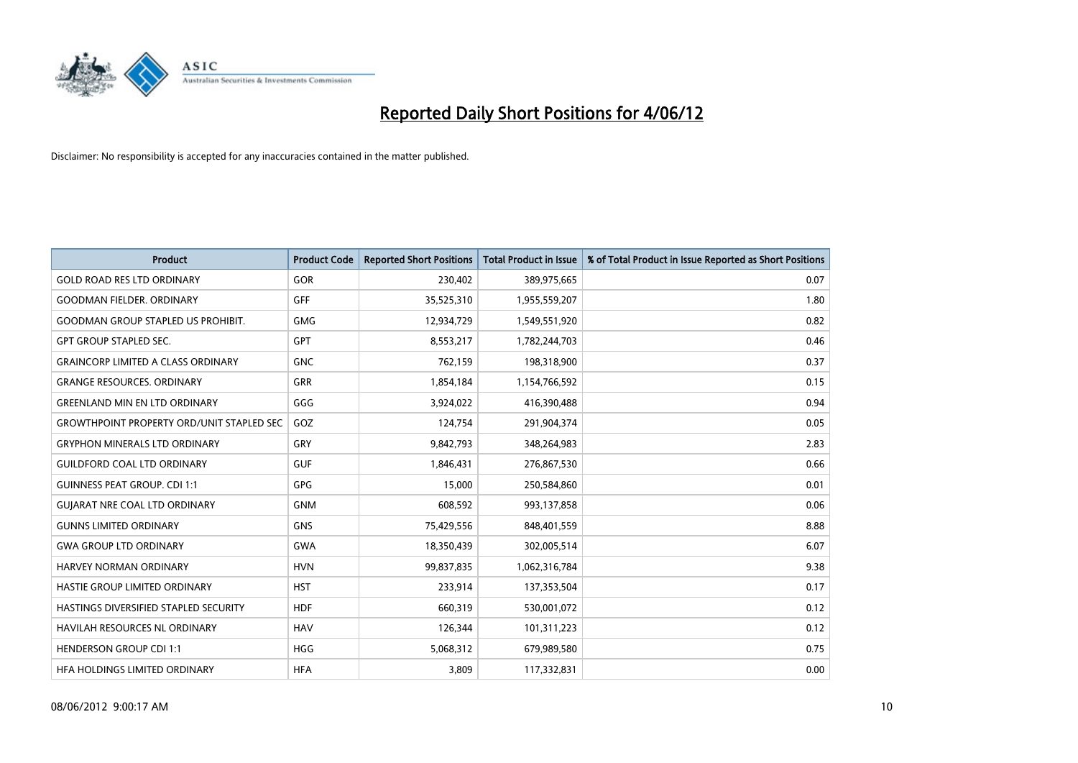

| <b>Product</b>                                   | <b>Product Code</b> | <b>Reported Short Positions</b> | <b>Total Product in Issue</b> | % of Total Product in Issue Reported as Short Positions |
|--------------------------------------------------|---------------------|---------------------------------|-------------------------------|---------------------------------------------------------|
| <b>GOLD ROAD RES LTD ORDINARY</b>                | GOR                 | 230,402                         | 389,975,665                   | 0.07                                                    |
| <b>GOODMAN FIELDER, ORDINARY</b>                 | <b>GFF</b>          | 35,525,310                      | 1,955,559,207                 | 1.80                                                    |
| <b>GOODMAN GROUP STAPLED US PROHIBIT.</b>        | <b>GMG</b>          | 12,934,729                      | 1,549,551,920                 | 0.82                                                    |
| <b>GPT GROUP STAPLED SEC.</b>                    | GPT                 | 8,553,217                       | 1,782,244,703                 | 0.46                                                    |
| <b>GRAINCORP LIMITED A CLASS ORDINARY</b>        | <b>GNC</b>          | 762,159                         | 198,318,900                   | 0.37                                                    |
| <b>GRANGE RESOURCES, ORDINARY</b>                | <b>GRR</b>          | 1,854,184                       | 1,154,766,592                 | 0.15                                                    |
| <b>GREENLAND MIN EN LTD ORDINARY</b>             | GGG                 | 3,924,022                       | 416,390,488                   | 0.94                                                    |
| <b>GROWTHPOINT PROPERTY ORD/UNIT STAPLED SEC</b> | GOZ                 | 124,754                         | 291,904,374                   | 0.05                                                    |
| <b>GRYPHON MINERALS LTD ORDINARY</b>             | GRY                 | 9,842,793                       | 348,264,983                   | 2.83                                                    |
| <b>GUILDFORD COAL LTD ORDINARY</b>               | <b>GUF</b>          | 1,846,431                       | 276,867,530                   | 0.66                                                    |
| <b>GUINNESS PEAT GROUP. CDI 1:1</b>              | <b>GPG</b>          | 15,000                          | 250,584,860                   | 0.01                                                    |
| <b>GUIARAT NRE COAL LTD ORDINARY</b>             | <b>GNM</b>          | 608,592                         | 993,137,858                   | 0.06                                                    |
| <b>GUNNS LIMITED ORDINARY</b>                    | <b>GNS</b>          | 75,429,556                      | 848,401,559                   | 8.88                                                    |
| <b>GWA GROUP LTD ORDINARY</b>                    | <b>GWA</b>          | 18,350,439                      | 302,005,514                   | 6.07                                                    |
| HARVEY NORMAN ORDINARY                           | <b>HVN</b>          | 99,837,835                      | 1,062,316,784                 | 9.38                                                    |
| HASTIE GROUP LIMITED ORDINARY                    | <b>HST</b>          | 233,914                         | 137,353,504                   | 0.17                                                    |
| HASTINGS DIVERSIFIED STAPLED SECURITY            | <b>HDF</b>          | 660,319                         | 530,001,072                   | 0.12                                                    |
| HAVILAH RESOURCES NL ORDINARY                    | <b>HAV</b>          | 126,344                         | 101,311,223                   | 0.12                                                    |
| <b>HENDERSON GROUP CDI 1:1</b>                   | <b>HGG</b>          | 5,068,312                       | 679,989,580                   | 0.75                                                    |
| HFA HOLDINGS LIMITED ORDINARY                    | <b>HFA</b>          | 3,809                           | 117,332,831                   | 0.00                                                    |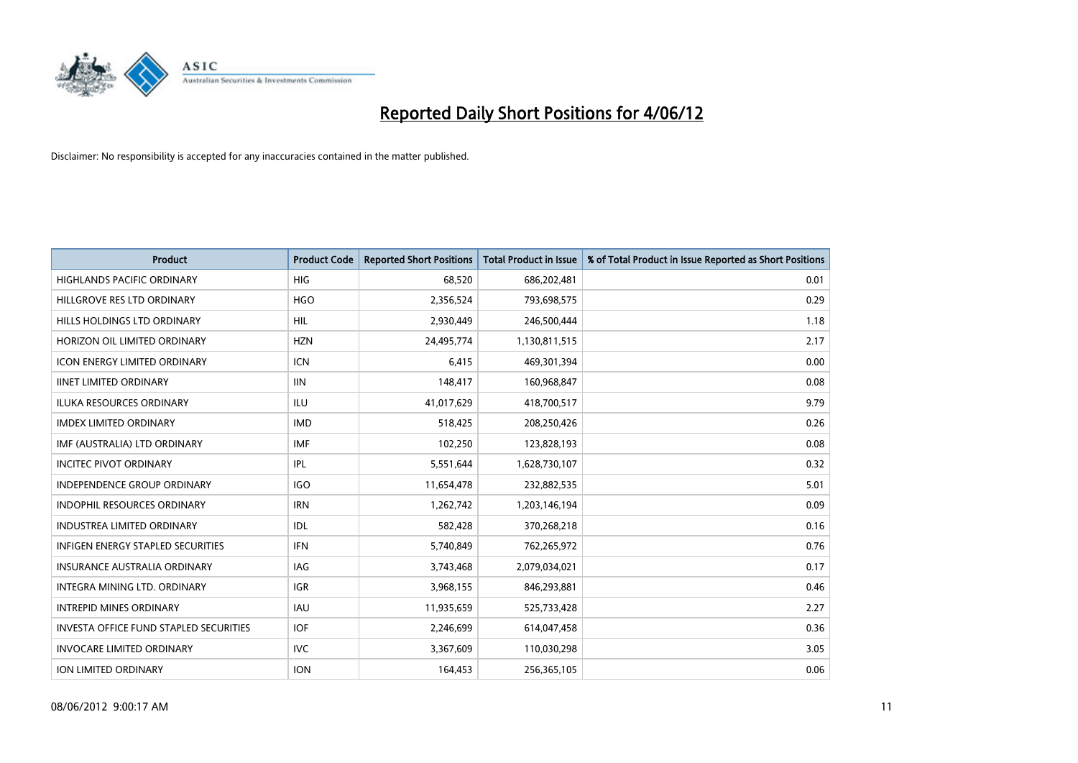

| <b>Product</b>                                | <b>Product Code</b> | <b>Reported Short Positions</b> | <b>Total Product in Issue</b> | % of Total Product in Issue Reported as Short Positions |
|-----------------------------------------------|---------------------|---------------------------------|-------------------------------|---------------------------------------------------------|
| <b>HIGHLANDS PACIFIC ORDINARY</b>             | <b>HIG</b>          | 68,520                          | 686,202,481                   | 0.01                                                    |
| HILLGROVE RES LTD ORDINARY                    | <b>HGO</b>          | 2,356,524                       | 793,698,575                   | 0.29                                                    |
| HILLS HOLDINGS LTD ORDINARY                   | HIL                 | 2,930,449                       | 246,500,444                   | 1.18                                                    |
| HORIZON OIL LIMITED ORDINARY                  | <b>HZN</b>          | 24,495,774                      | 1,130,811,515                 | 2.17                                                    |
| <b>ICON ENERGY LIMITED ORDINARY</b>           | ICN                 | 6,415                           | 469,301,394                   | 0.00                                                    |
| <b>IINET LIMITED ORDINARY</b>                 | <b>IIN</b>          | 148,417                         | 160,968,847                   | 0.08                                                    |
| <b>ILUKA RESOURCES ORDINARY</b>               | <b>ILU</b>          | 41,017,629                      | 418,700,517                   | 9.79                                                    |
| <b>IMDEX LIMITED ORDINARY</b>                 | <b>IMD</b>          | 518,425                         | 208,250,426                   | 0.26                                                    |
| IMF (AUSTRALIA) LTD ORDINARY                  | <b>IMF</b>          | 102,250                         | 123,828,193                   | 0.08                                                    |
| <b>INCITEC PIVOT ORDINARY</b>                 | IPL                 | 5,551,644                       | 1,628,730,107                 | 0.32                                                    |
| INDEPENDENCE GROUP ORDINARY                   | <b>IGO</b>          | 11,654,478                      | 232,882,535                   | 5.01                                                    |
| <b>INDOPHIL RESOURCES ORDINARY</b>            | <b>IRN</b>          | 1,262,742                       | 1,203,146,194                 | 0.09                                                    |
| <b>INDUSTREA LIMITED ORDINARY</b>             | <b>IDL</b>          | 582,428                         | 370,268,218                   | 0.16                                                    |
| INFIGEN ENERGY STAPLED SECURITIES             | <b>IFN</b>          | 5,740,849                       | 762,265,972                   | 0.76                                                    |
| <b>INSURANCE AUSTRALIA ORDINARY</b>           | <b>IAG</b>          | 3,743,468                       | 2,079,034,021                 | 0.17                                                    |
| INTEGRA MINING LTD. ORDINARY                  | IGR                 | 3,968,155                       | 846,293,881                   | 0.46                                                    |
| <b>INTREPID MINES ORDINARY</b>                | IAU                 | 11,935,659                      | 525,733,428                   | 2.27                                                    |
| <b>INVESTA OFFICE FUND STAPLED SECURITIES</b> | <b>IOF</b>          | 2,246,699                       | 614,047,458                   | 0.36                                                    |
| <b>INVOCARE LIMITED ORDINARY</b>              | <b>IVC</b>          | 3,367,609                       | 110,030,298                   | 3.05                                                    |
| ION LIMITED ORDINARY                          | <b>ION</b>          | 164,453                         | 256,365,105                   | 0.06                                                    |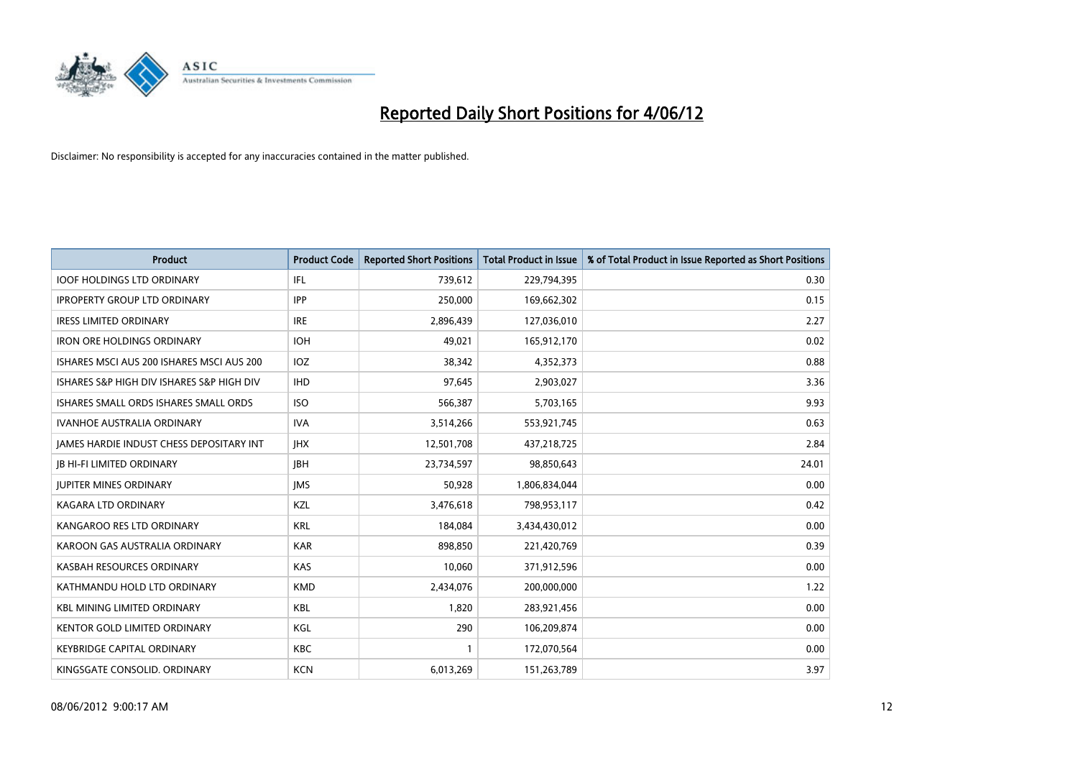

| <b>Product</b>                            | <b>Product Code</b> | <b>Reported Short Positions</b> | <b>Total Product in Issue</b> | % of Total Product in Issue Reported as Short Positions |
|-------------------------------------------|---------------------|---------------------------------|-------------------------------|---------------------------------------------------------|
| <b>IOOF HOLDINGS LTD ORDINARY</b>         | IFL                 | 739,612                         | 229,794,395                   | 0.30                                                    |
| <b>IPROPERTY GROUP LTD ORDINARY</b>       | <b>IPP</b>          | 250,000                         | 169,662,302                   | 0.15                                                    |
| <b>IRESS LIMITED ORDINARY</b>             | <b>IRE</b>          | 2,896,439                       | 127,036,010                   | 2.27                                                    |
| IRON ORE HOLDINGS ORDINARY                | <b>IOH</b>          | 49,021                          | 165,912,170                   | 0.02                                                    |
| ISHARES MSCI AUS 200 ISHARES MSCI AUS 200 | IOZ                 | 38,342                          | 4,352,373                     | 0.88                                                    |
| ISHARES S&P HIGH DIV ISHARES S&P HIGH DIV | <b>IHD</b>          | 97,645                          | 2,903,027                     | 3.36                                                    |
| ISHARES SMALL ORDS ISHARES SMALL ORDS     | <b>ISO</b>          | 566,387                         | 5,703,165                     | 9.93                                                    |
| <b>IVANHOE AUSTRALIA ORDINARY</b>         | <b>IVA</b>          | 3,514,266                       | 553,921,745                   | 0.63                                                    |
| JAMES HARDIE INDUST CHESS DEPOSITARY INT  | <b>IHX</b>          | 12,501,708                      | 437,218,725                   | 2.84                                                    |
| <b>JB HI-FI LIMITED ORDINARY</b>          | <b>JBH</b>          | 23,734,597                      | 98,850,643                    | 24.01                                                   |
| <b>JUPITER MINES ORDINARY</b>             | <b>IMS</b>          | 50,928                          | 1,806,834,044                 | 0.00                                                    |
| <b>KAGARA LTD ORDINARY</b>                | KZL                 | 3,476,618                       | 798,953,117                   | 0.42                                                    |
| KANGAROO RES LTD ORDINARY                 | <b>KRL</b>          | 184,084                         | 3,434,430,012                 | 0.00                                                    |
| KAROON GAS AUSTRALIA ORDINARY             | <b>KAR</b>          | 898,850                         | 221,420,769                   | 0.39                                                    |
| KASBAH RESOURCES ORDINARY                 | <b>KAS</b>          | 10,060                          | 371,912,596                   | 0.00                                                    |
| KATHMANDU HOLD LTD ORDINARY               | <b>KMD</b>          | 2,434,076                       | 200,000,000                   | 1.22                                                    |
| <b>KBL MINING LIMITED ORDINARY</b>        | KBL                 | 1,820                           | 283,921,456                   | 0.00                                                    |
| KENTOR GOLD LIMITED ORDINARY              | KGL                 | 290                             | 106,209,874                   | 0.00                                                    |
| <b>KEYBRIDGE CAPITAL ORDINARY</b>         | <b>KBC</b>          | 1                               | 172,070,564                   | 0.00                                                    |
| KINGSGATE CONSOLID. ORDINARY              | <b>KCN</b>          | 6,013,269                       | 151,263,789                   | 3.97                                                    |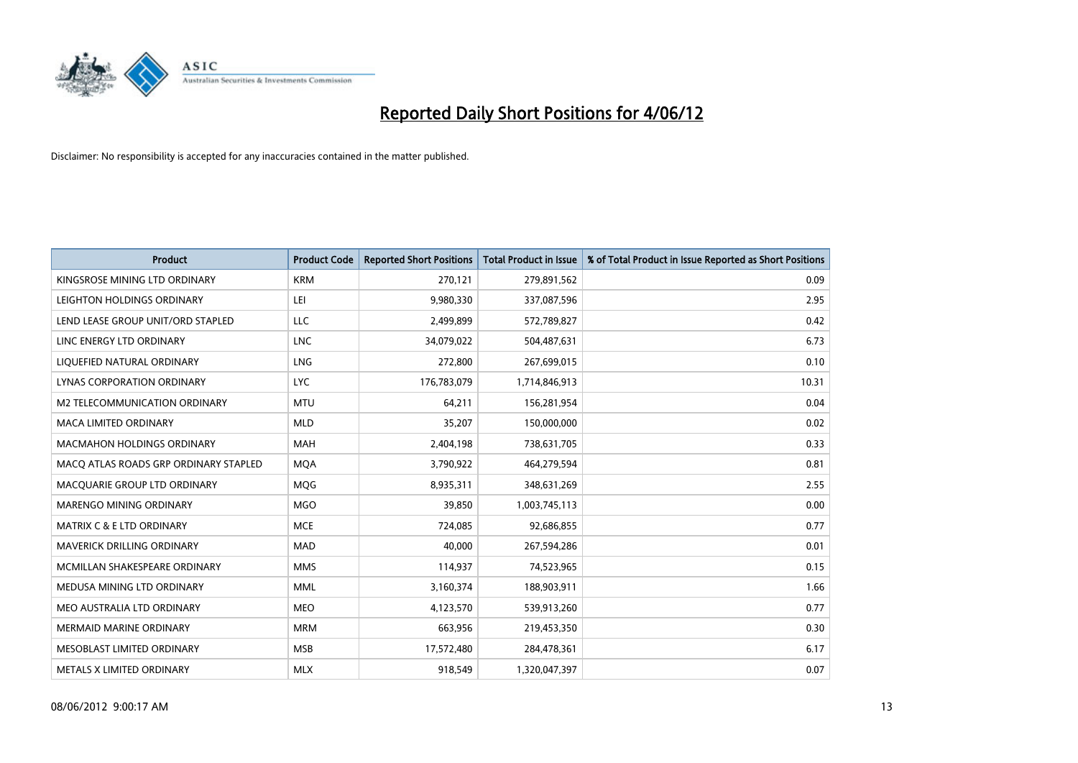

| <b>Product</b>                        | <b>Product Code</b> | <b>Reported Short Positions</b> | <b>Total Product in Issue</b> | % of Total Product in Issue Reported as Short Positions |
|---------------------------------------|---------------------|---------------------------------|-------------------------------|---------------------------------------------------------|
| KINGSROSE MINING LTD ORDINARY         | <b>KRM</b>          | 270,121                         | 279,891,562                   | 0.09                                                    |
| LEIGHTON HOLDINGS ORDINARY            | LEI                 | 9,980,330                       | 337,087,596                   | 2.95                                                    |
| LEND LEASE GROUP UNIT/ORD STAPLED     | <b>LLC</b>          | 2,499,899                       | 572,789,827                   | 0.42                                                    |
| LINC ENERGY LTD ORDINARY              | <b>LNC</b>          | 34,079,022                      | 504,487,631                   | 6.73                                                    |
| LIQUEFIED NATURAL ORDINARY            | LNG                 | 272,800                         | 267,699,015                   | 0.10                                                    |
| LYNAS CORPORATION ORDINARY            | <b>LYC</b>          | 176,783,079                     | 1,714,846,913                 | 10.31                                                   |
| M2 TELECOMMUNICATION ORDINARY         | <b>MTU</b>          | 64,211                          | 156,281,954                   | 0.04                                                    |
| MACA LIMITED ORDINARY                 | <b>MLD</b>          | 35,207                          | 150,000,000                   | 0.02                                                    |
| <b>MACMAHON HOLDINGS ORDINARY</b>     | <b>MAH</b>          | 2,404,198                       | 738,631,705                   | 0.33                                                    |
| MACO ATLAS ROADS GRP ORDINARY STAPLED | <b>MQA</b>          | 3,790,922                       | 464,279,594                   | 0.81                                                    |
| MACQUARIE GROUP LTD ORDINARY          | <b>MOG</b>          | 8,935,311                       | 348,631,269                   | 2.55                                                    |
| MARENGO MINING ORDINARY               | <b>MGO</b>          | 39,850                          | 1,003,745,113                 | 0.00                                                    |
| <b>MATRIX C &amp; E LTD ORDINARY</b>  | <b>MCE</b>          | 724,085                         | 92,686,855                    | 0.77                                                    |
| MAVERICK DRILLING ORDINARY            | <b>MAD</b>          | 40,000                          | 267,594,286                   | 0.01                                                    |
| MCMILLAN SHAKESPEARE ORDINARY         | <b>MMS</b>          | 114,937                         | 74,523,965                    | 0.15                                                    |
| MEDUSA MINING LTD ORDINARY            | <b>MML</b>          | 3,160,374                       | 188,903,911                   | 1.66                                                    |
| MEO AUSTRALIA LTD ORDINARY            | <b>MEO</b>          | 4,123,570                       | 539,913,260                   | 0.77                                                    |
| <b>MERMAID MARINE ORDINARY</b>        | <b>MRM</b>          | 663,956                         | 219,453,350                   | 0.30                                                    |
| MESOBLAST LIMITED ORDINARY            | <b>MSB</b>          | 17,572,480                      | 284,478,361                   | 6.17                                                    |
| METALS X LIMITED ORDINARY             | <b>MLX</b>          | 918,549                         | 1,320,047,397                 | 0.07                                                    |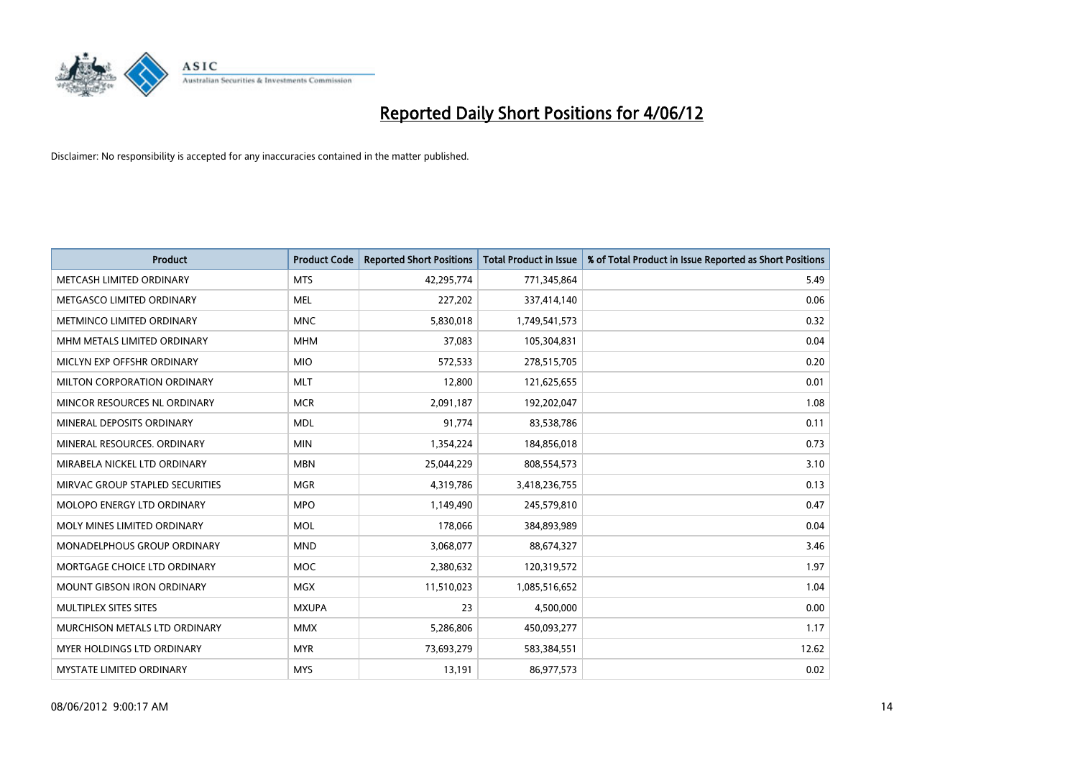

| <b>Product</b>                    | <b>Product Code</b> | <b>Reported Short Positions</b> | <b>Total Product in Issue</b> | % of Total Product in Issue Reported as Short Positions |
|-----------------------------------|---------------------|---------------------------------|-------------------------------|---------------------------------------------------------|
| METCASH LIMITED ORDINARY          | <b>MTS</b>          | 42,295,774                      | 771,345,864                   | 5.49                                                    |
| METGASCO LIMITED ORDINARY         | MEL                 | 227,202                         | 337,414,140                   | 0.06                                                    |
| METMINCO LIMITED ORDINARY         | <b>MNC</b>          | 5,830,018                       | 1,749,541,573                 | 0.32                                                    |
| MHM METALS LIMITED ORDINARY       | <b>MHM</b>          | 37,083                          | 105,304,831                   | 0.04                                                    |
| MICLYN EXP OFFSHR ORDINARY        | <b>MIO</b>          | 572,533                         | 278,515,705                   | 0.20                                                    |
| MILTON CORPORATION ORDINARY       | <b>MLT</b>          | 12,800                          | 121,625,655                   | 0.01                                                    |
| MINCOR RESOURCES NL ORDINARY      | <b>MCR</b>          | 2,091,187                       | 192,202,047                   | 1.08                                                    |
| MINERAL DEPOSITS ORDINARY         | <b>MDL</b>          | 91,774                          | 83,538,786                    | 0.11                                                    |
| MINERAL RESOURCES, ORDINARY       | <b>MIN</b>          | 1,354,224                       | 184,856,018                   | 0.73                                                    |
| MIRABELA NICKEL LTD ORDINARY      | <b>MBN</b>          | 25,044,229                      | 808,554,573                   | 3.10                                                    |
| MIRVAC GROUP STAPLED SECURITIES   | <b>MGR</b>          | 4,319,786                       | 3,418,236,755                 | 0.13                                                    |
| <b>MOLOPO ENERGY LTD ORDINARY</b> | <b>MPO</b>          | 1,149,490                       | 245,579,810                   | 0.47                                                    |
| MOLY MINES LIMITED ORDINARY       | <b>MOL</b>          | 178,066                         | 384,893,989                   | 0.04                                                    |
| MONADELPHOUS GROUP ORDINARY       | <b>MND</b>          | 3,068,077                       | 88,674,327                    | 3.46                                                    |
| MORTGAGE CHOICE LTD ORDINARY      | <b>MOC</b>          | 2,380,632                       | 120,319,572                   | 1.97                                                    |
| MOUNT GIBSON IRON ORDINARY        | <b>MGX</b>          | 11,510,023                      | 1,085,516,652                 | 1.04                                                    |
| MULTIPLEX SITES SITES             | <b>MXUPA</b>        | 23                              | 4,500,000                     | 0.00                                                    |
| MURCHISON METALS LTD ORDINARY     | <b>MMX</b>          | 5,286,806                       | 450,093,277                   | 1.17                                                    |
| MYER HOLDINGS LTD ORDINARY        | <b>MYR</b>          | 73,693,279                      | 583,384,551                   | 12.62                                                   |
| MYSTATE LIMITED ORDINARY          | <b>MYS</b>          | 13,191                          | 86,977,573                    | 0.02                                                    |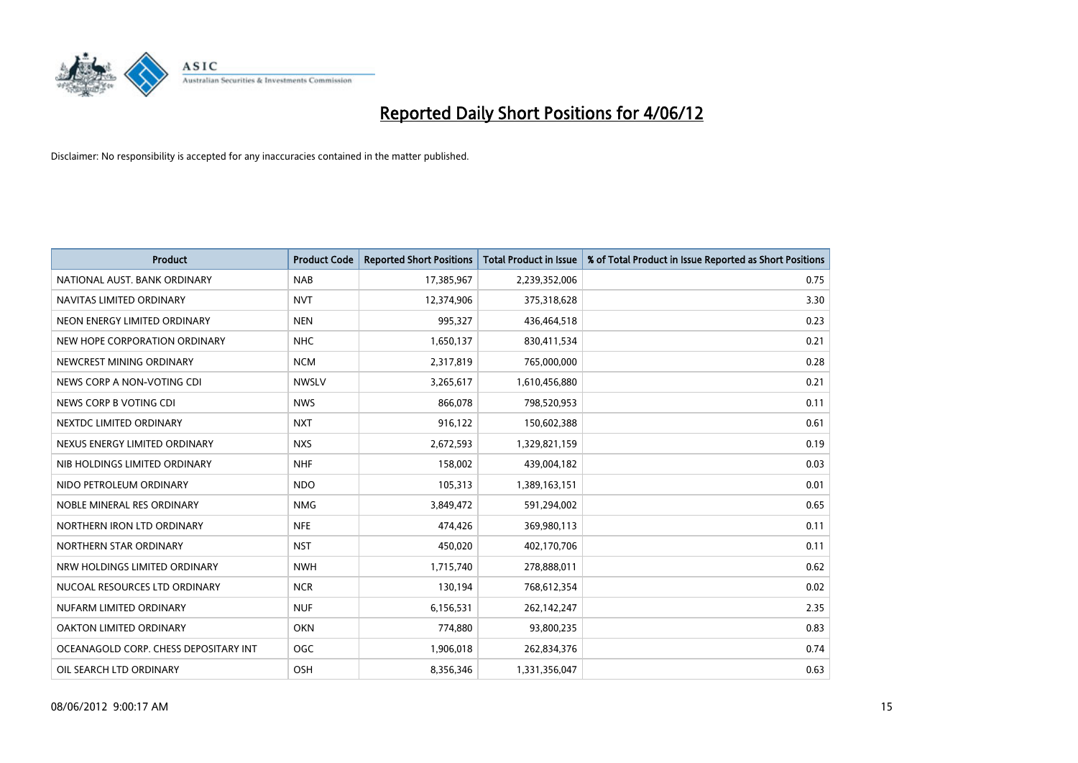

| <b>Product</b>                        | <b>Product Code</b> | <b>Reported Short Positions</b> | <b>Total Product in Issue</b> | % of Total Product in Issue Reported as Short Positions |
|---------------------------------------|---------------------|---------------------------------|-------------------------------|---------------------------------------------------------|
| NATIONAL AUST. BANK ORDINARY          | <b>NAB</b>          | 17,385,967                      | 2,239,352,006                 | 0.75                                                    |
| NAVITAS LIMITED ORDINARY              | <b>NVT</b>          | 12,374,906                      | 375,318,628                   | 3.30                                                    |
| NEON ENERGY LIMITED ORDINARY          | <b>NEN</b>          | 995,327                         | 436,464,518                   | 0.23                                                    |
| NEW HOPE CORPORATION ORDINARY         | <b>NHC</b>          | 1,650,137                       | 830,411,534                   | 0.21                                                    |
| NEWCREST MINING ORDINARY              | <b>NCM</b>          | 2,317,819                       | 765,000,000                   | 0.28                                                    |
| NEWS CORP A NON-VOTING CDI            | <b>NWSLV</b>        | 3,265,617                       | 1,610,456,880                 | 0.21                                                    |
| NEWS CORP B VOTING CDI                | <b>NWS</b>          | 866,078                         | 798,520,953                   | 0.11                                                    |
| NEXTDC LIMITED ORDINARY               | <b>NXT</b>          | 916,122                         | 150,602,388                   | 0.61                                                    |
| NEXUS ENERGY LIMITED ORDINARY         | <b>NXS</b>          | 2,672,593                       | 1,329,821,159                 | 0.19                                                    |
| NIB HOLDINGS LIMITED ORDINARY         | <b>NHF</b>          | 158,002                         | 439,004,182                   | 0.03                                                    |
| NIDO PETROLEUM ORDINARY               | <b>NDO</b>          | 105,313                         | 1,389,163,151                 | 0.01                                                    |
| NOBLE MINERAL RES ORDINARY            | <b>NMG</b>          | 3,849,472                       | 591,294,002                   | 0.65                                                    |
| NORTHERN IRON LTD ORDINARY            | <b>NFE</b>          | 474,426                         | 369,980,113                   | 0.11                                                    |
| NORTHERN STAR ORDINARY                | <b>NST</b>          | 450,020                         | 402,170,706                   | 0.11                                                    |
| NRW HOLDINGS LIMITED ORDINARY         | <b>NWH</b>          | 1,715,740                       | 278,888,011                   | 0.62                                                    |
| NUCOAL RESOURCES LTD ORDINARY         | <b>NCR</b>          | 130,194                         | 768,612,354                   | 0.02                                                    |
| NUFARM LIMITED ORDINARY               | <b>NUF</b>          | 6,156,531                       | 262,142,247                   | 2.35                                                    |
| OAKTON LIMITED ORDINARY               | <b>OKN</b>          | 774,880                         | 93,800,235                    | 0.83                                                    |
| OCEANAGOLD CORP. CHESS DEPOSITARY INT | <b>OGC</b>          | 1,906,018                       | 262,834,376                   | 0.74                                                    |
| OIL SEARCH LTD ORDINARY               | OSH                 | 8,356,346                       | 1,331,356,047                 | 0.63                                                    |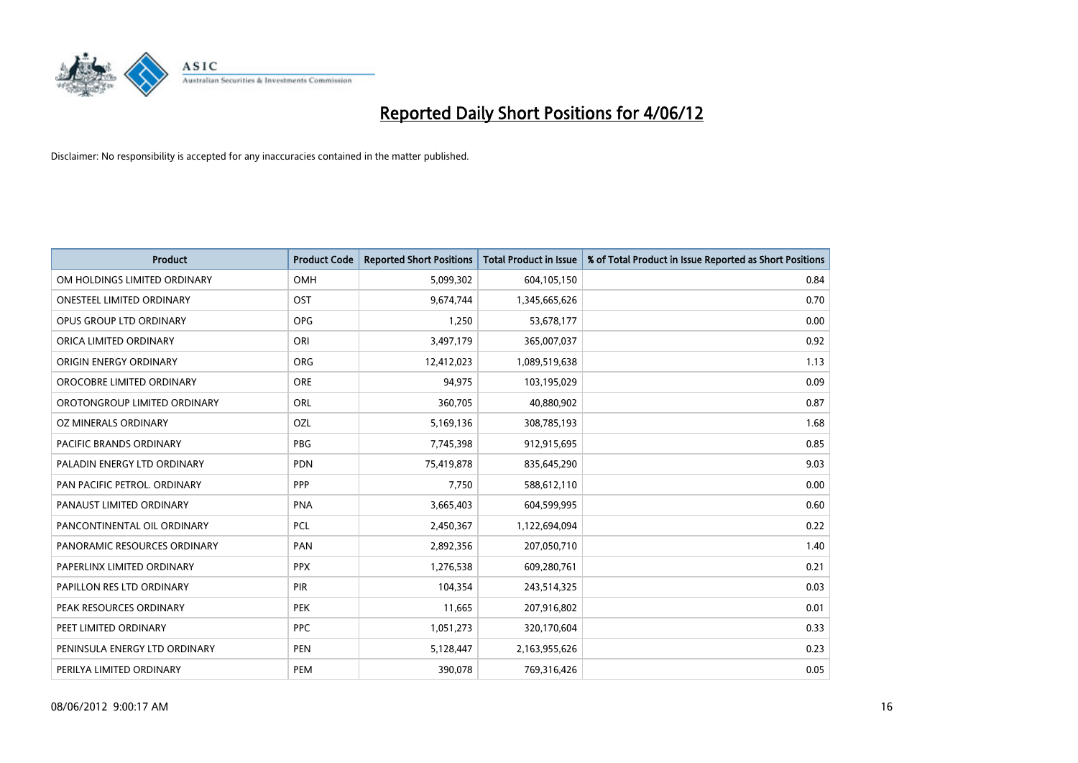

| <b>Product</b>                 | <b>Product Code</b> | <b>Reported Short Positions</b> | <b>Total Product in Issue</b> | % of Total Product in Issue Reported as Short Positions |
|--------------------------------|---------------------|---------------------------------|-------------------------------|---------------------------------------------------------|
| OM HOLDINGS LIMITED ORDINARY   | <b>OMH</b>          | 5,099,302                       | 604,105,150                   | 0.84                                                    |
| ONESTEEL LIMITED ORDINARY      | OST                 | 9,674,744                       | 1,345,665,626                 | 0.70                                                    |
| OPUS GROUP LTD ORDINARY        | <b>OPG</b>          | 1,250                           | 53,678,177                    | 0.00                                                    |
| ORICA LIMITED ORDINARY         | ORI                 | 3,497,179                       | 365,007,037                   | 0.92                                                    |
| ORIGIN ENERGY ORDINARY         | <b>ORG</b>          | 12,412,023                      | 1,089,519,638                 | 1.13                                                    |
| OROCOBRE LIMITED ORDINARY      | ORE                 | 94,975                          | 103,195,029                   | 0.09                                                    |
| OROTONGROUP LIMITED ORDINARY   | ORL                 | 360,705                         | 40,880,902                    | 0.87                                                    |
| OZ MINERALS ORDINARY           | OZL                 | 5,169,136                       | 308,785,193                   | 1.68                                                    |
| <b>PACIFIC BRANDS ORDINARY</b> | <b>PBG</b>          | 7,745,398                       | 912,915,695                   | 0.85                                                    |
| PALADIN ENERGY LTD ORDINARY    | <b>PDN</b>          | 75,419,878                      | 835,645,290                   | 9.03                                                    |
| PAN PACIFIC PETROL. ORDINARY   | <b>PPP</b>          | 7,750                           | 588,612,110                   | 0.00                                                    |
| PANAUST LIMITED ORDINARY       | <b>PNA</b>          | 3,665,403                       | 604,599,995                   | 0.60                                                    |
| PANCONTINENTAL OIL ORDINARY    | <b>PCL</b>          | 2,450,367                       | 1,122,694,094                 | 0.22                                                    |
| PANORAMIC RESOURCES ORDINARY   | PAN                 | 2,892,356                       | 207,050,710                   | 1.40                                                    |
| PAPERLINX LIMITED ORDINARY     | <b>PPX</b>          | 1,276,538                       | 609,280,761                   | 0.21                                                    |
| PAPILLON RES LTD ORDINARY      | <b>PIR</b>          | 104,354                         | 243,514,325                   | 0.03                                                    |
| PEAK RESOURCES ORDINARY        | PEK                 | 11,665                          | 207,916,802                   | 0.01                                                    |
| PEET LIMITED ORDINARY          | <b>PPC</b>          | 1,051,273                       | 320,170,604                   | 0.33                                                    |
| PENINSULA ENERGY LTD ORDINARY  | <b>PEN</b>          | 5,128,447                       | 2,163,955,626                 | 0.23                                                    |
| PERILYA LIMITED ORDINARY       | <b>PEM</b>          | 390,078                         | 769,316,426                   | 0.05                                                    |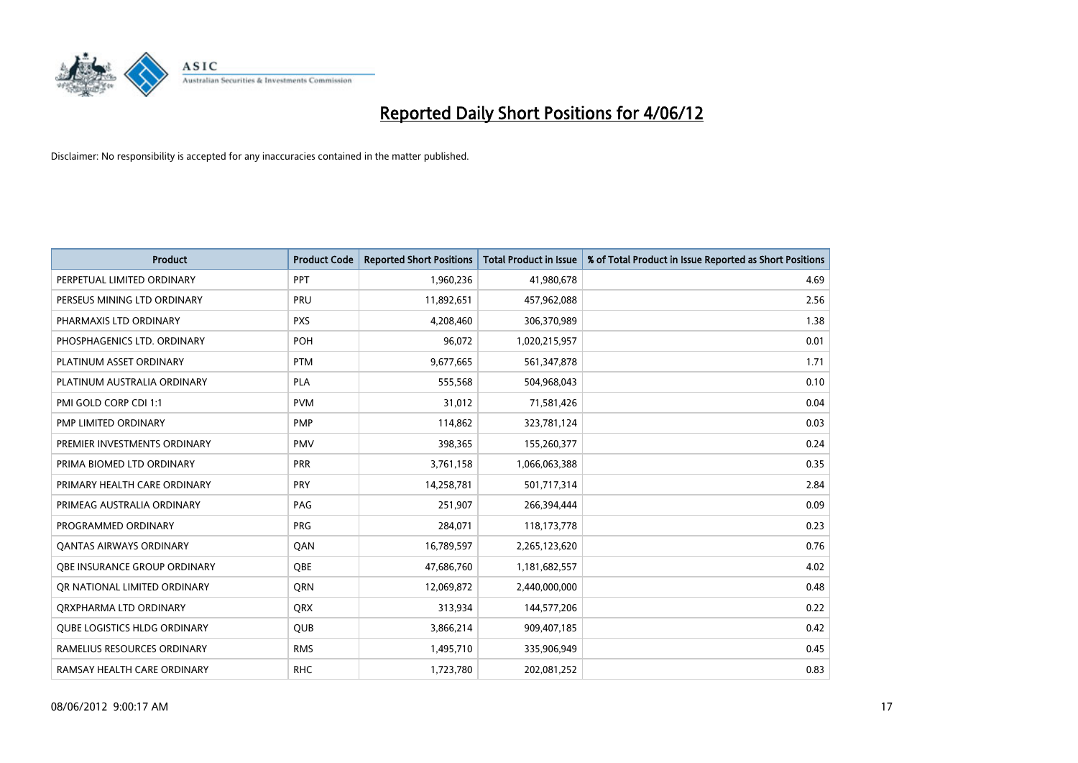

| <b>Product</b>                      | <b>Product Code</b> | <b>Reported Short Positions</b> | <b>Total Product in Issue</b> | % of Total Product in Issue Reported as Short Positions |
|-------------------------------------|---------------------|---------------------------------|-------------------------------|---------------------------------------------------------|
| PERPETUAL LIMITED ORDINARY          | PPT                 | 1,960,236                       | 41,980,678                    | 4.69                                                    |
| PERSEUS MINING LTD ORDINARY         | <b>PRU</b>          | 11,892,651                      | 457,962,088                   | 2.56                                                    |
| PHARMAXIS LTD ORDINARY              | <b>PXS</b>          | 4,208,460                       | 306,370,989                   | 1.38                                                    |
| PHOSPHAGENICS LTD. ORDINARY         | POH                 | 96,072                          | 1,020,215,957                 | 0.01                                                    |
| PLATINUM ASSET ORDINARY             | <b>PTM</b>          | 9,677,665                       | 561,347,878                   | 1.71                                                    |
| PLATINUM AUSTRALIA ORDINARY         | <b>PLA</b>          | 555,568                         | 504,968,043                   | 0.10                                                    |
| PMI GOLD CORP CDI 1:1               | <b>PVM</b>          | 31,012                          | 71,581,426                    | 0.04                                                    |
| PMP LIMITED ORDINARY                | <b>PMP</b>          | 114,862                         | 323,781,124                   | 0.03                                                    |
| PREMIER INVESTMENTS ORDINARY        | <b>PMV</b>          | 398,365                         | 155,260,377                   | 0.24                                                    |
| PRIMA BIOMED LTD ORDINARY           | <b>PRR</b>          | 3,761,158                       | 1,066,063,388                 | 0.35                                                    |
| PRIMARY HEALTH CARE ORDINARY        | <b>PRY</b>          | 14,258,781                      | 501,717,314                   | 2.84                                                    |
| PRIMEAG AUSTRALIA ORDINARY          | PAG                 | 251,907                         | 266,394,444                   | 0.09                                                    |
| PROGRAMMED ORDINARY                 | <b>PRG</b>          | 284,071                         | 118,173,778                   | 0.23                                                    |
| <b>QANTAS AIRWAYS ORDINARY</b>      | QAN                 | 16,789,597                      | 2,265,123,620                 | 0.76                                                    |
| OBE INSURANCE GROUP ORDINARY        | <b>OBE</b>          | 47,686,760                      | 1,181,682,557                 | 4.02                                                    |
| OR NATIONAL LIMITED ORDINARY        | <b>ORN</b>          | 12,069,872                      | 2,440,000,000                 | 0.48                                                    |
| ORXPHARMA LTD ORDINARY              | <b>QRX</b>          | 313,934                         | 144,577,206                   | 0.22                                                    |
| <b>QUBE LOGISTICS HLDG ORDINARY</b> | QUB                 | 3,866,214                       | 909,407,185                   | 0.42                                                    |
| RAMELIUS RESOURCES ORDINARY         | <b>RMS</b>          | 1,495,710                       | 335,906,949                   | 0.45                                                    |
| RAMSAY HEALTH CARE ORDINARY         | <b>RHC</b>          | 1,723,780                       | 202,081,252                   | 0.83                                                    |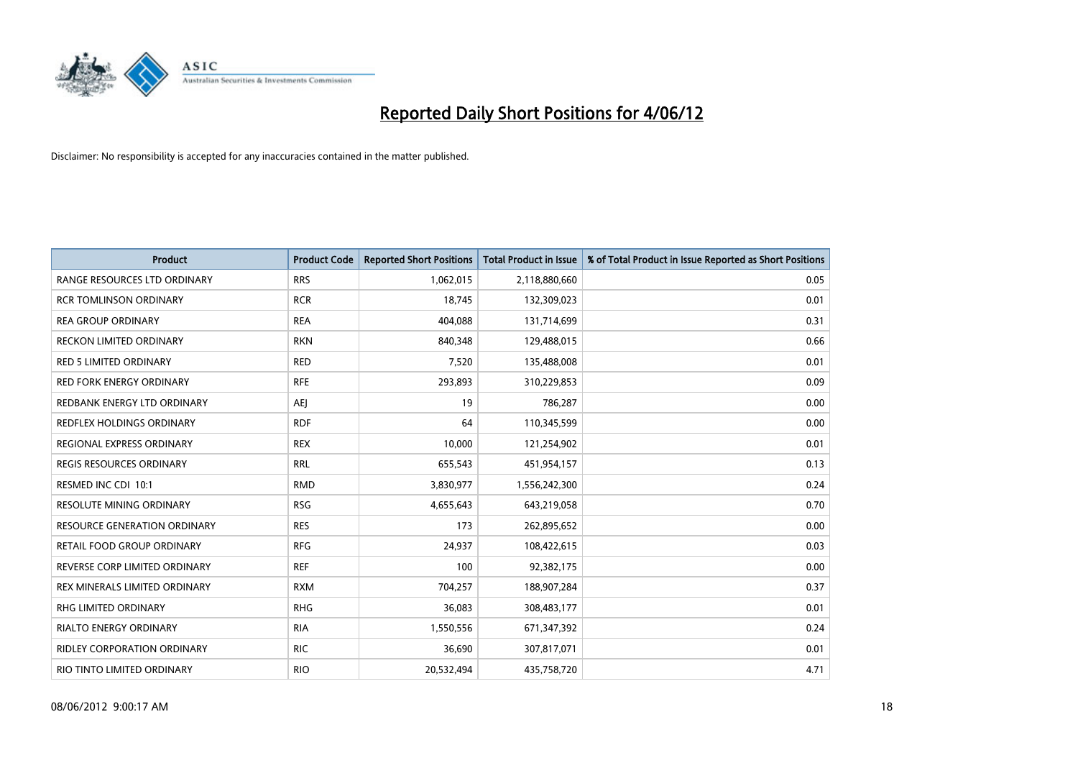

| <b>Product</b>                      | <b>Product Code</b> | <b>Reported Short Positions</b> | <b>Total Product in Issue</b> | % of Total Product in Issue Reported as Short Positions |
|-------------------------------------|---------------------|---------------------------------|-------------------------------|---------------------------------------------------------|
| RANGE RESOURCES LTD ORDINARY        | <b>RRS</b>          | 1,062,015                       | 2,118,880,660                 | 0.05                                                    |
| <b>RCR TOMLINSON ORDINARY</b>       | <b>RCR</b>          | 18.745                          | 132,309,023                   | 0.01                                                    |
| <b>REA GROUP ORDINARY</b>           | <b>REA</b>          | 404,088                         | 131,714,699                   | 0.31                                                    |
| RECKON LIMITED ORDINARY             | <b>RKN</b>          | 840,348                         | 129,488,015                   | 0.66                                                    |
| <b>RED 5 LIMITED ORDINARY</b>       | <b>RED</b>          | 7,520                           | 135,488,008                   | 0.01                                                    |
| <b>RED FORK ENERGY ORDINARY</b>     | <b>RFE</b>          | 293,893                         | 310,229,853                   | 0.09                                                    |
| REDBANK ENERGY LTD ORDINARY         | <b>AEI</b>          | 19                              | 786,287                       | 0.00                                                    |
| <b>REDFLEX HOLDINGS ORDINARY</b>    | <b>RDF</b>          | 64                              | 110,345,599                   | 0.00                                                    |
| REGIONAL EXPRESS ORDINARY           | <b>REX</b>          | 10,000                          | 121,254,902                   | 0.01                                                    |
| <b>REGIS RESOURCES ORDINARY</b>     | <b>RRL</b>          | 655,543                         | 451,954,157                   | 0.13                                                    |
| RESMED INC CDI 10:1                 | <b>RMD</b>          | 3,830,977                       | 1,556,242,300                 | 0.24                                                    |
| <b>RESOLUTE MINING ORDINARY</b>     | <b>RSG</b>          | 4,655,643                       | 643,219,058                   | 0.70                                                    |
| <b>RESOURCE GENERATION ORDINARY</b> | <b>RES</b>          | 173                             | 262,895,652                   | 0.00                                                    |
| RETAIL FOOD GROUP ORDINARY          | <b>RFG</b>          | 24,937                          | 108,422,615                   | 0.03                                                    |
| REVERSE CORP LIMITED ORDINARY       | <b>REF</b>          | 100                             | 92,382,175                    | 0.00                                                    |
| REX MINERALS LIMITED ORDINARY       | <b>RXM</b>          | 704,257                         | 188,907,284                   | 0.37                                                    |
| <b>RHG LIMITED ORDINARY</b>         | <b>RHG</b>          | 36,083                          | 308,483,177                   | 0.01                                                    |
| RIALTO ENERGY ORDINARY              | <b>RIA</b>          | 1,550,556                       | 671,347,392                   | 0.24                                                    |
| RIDLEY CORPORATION ORDINARY         | <b>RIC</b>          | 36,690                          | 307,817,071                   | 0.01                                                    |
| RIO TINTO LIMITED ORDINARY          | <b>RIO</b>          | 20,532,494                      | 435,758,720                   | 4.71                                                    |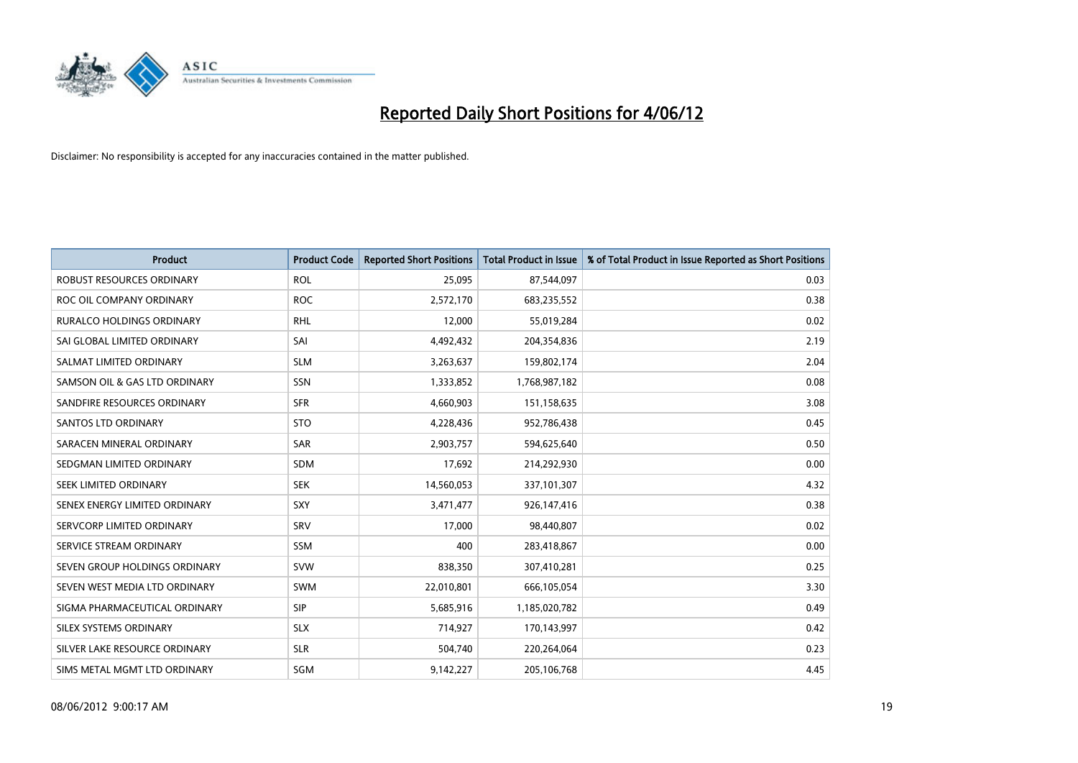

| <b>Product</b>                   | <b>Product Code</b> | <b>Reported Short Positions</b> | <b>Total Product in Issue</b> | % of Total Product in Issue Reported as Short Positions |
|----------------------------------|---------------------|---------------------------------|-------------------------------|---------------------------------------------------------|
| <b>ROBUST RESOURCES ORDINARY</b> | <b>ROL</b>          | 25,095                          | 87,544,097                    | 0.03                                                    |
| ROC OIL COMPANY ORDINARY         | <b>ROC</b>          | 2,572,170                       | 683,235,552                   | 0.38                                                    |
| <b>RURALCO HOLDINGS ORDINARY</b> | <b>RHL</b>          | 12,000                          | 55,019,284                    | 0.02                                                    |
| SAI GLOBAL LIMITED ORDINARY      | SAI                 | 4,492,432                       | 204,354,836                   | 2.19                                                    |
| SALMAT LIMITED ORDINARY          | <b>SLM</b>          | 3,263,637                       | 159,802,174                   | 2.04                                                    |
| SAMSON OIL & GAS LTD ORDINARY    | SSN                 | 1,333,852                       | 1,768,987,182                 | 0.08                                                    |
| SANDFIRE RESOURCES ORDINARY      | <b>SFR</b>          | 4,660,903                       | 151,158,635                   | 3.08                                                    |
| <b>SANTOS LTD ORDINARY</b>       | <b>STO</b>          | 4,228,436                       | 952,786,438                   | 0.45                                                    |
| SARACEN MINERAL ORDINARY         | SAR                 | 2,903,757                       | 594,625,640                   | 0.50                                                    |
| SEDGMAN LIMITED ORDINARY         | <b>SDM</b>          | 17,692                          | 214,292,930                   | 0.00                                                    |
| SEEK LIMITED ORDINARY            | <b>SEK</b>          | 14,560,053                      | 337,101,307                   | 4.32                                                    |
| SENEX ENERGY LIMITED ORDINARY    | <b>SXY</b>          | 3,471,477                       | 926,147,416                   | 0.38                                                    |
| SERVCORP LIMITED ORDINARY        | SRV                 | 17,000                          | 98,440,807                    | 0.02                                                    |
| SERVICE STREAM ORDINARY          | SSM                 | 400                             | 283,418,867                   | 0.00                                                    |
| SEVEN GROUP HOLDINGS ORDINARY    | <b>SVW</b>          | 838,350                         | 307,410,281                   | 0.25                                                    |
| SEVEN WEST MEDIA LTD ORDINARY    | SWM                 | 22,010,801                      | 666,105,054                   | 3.30                                                    |
| SIGMA PHARMACEUTICAL ORDINARY    | <b>SIP</b>          | 5,685,916                       | 1,185,020,782                 | 0.49                                                    |
| SILEX SYSTEMS ORDINARY           | <b>SLX</b>          | 714,927                         | 170,143,997                   | 0.42                                                    |
| SILVER LAKE RESOURCE ORDINARY    | <b>SLR</b>          | 504,740                         | 220,264,064                   | 0.23                                                    |
| SIMS METAL MGMT LTD ORDINARY     | SGM                 | 9,142,227                       | 205,106,768                   | 4.45                                                    |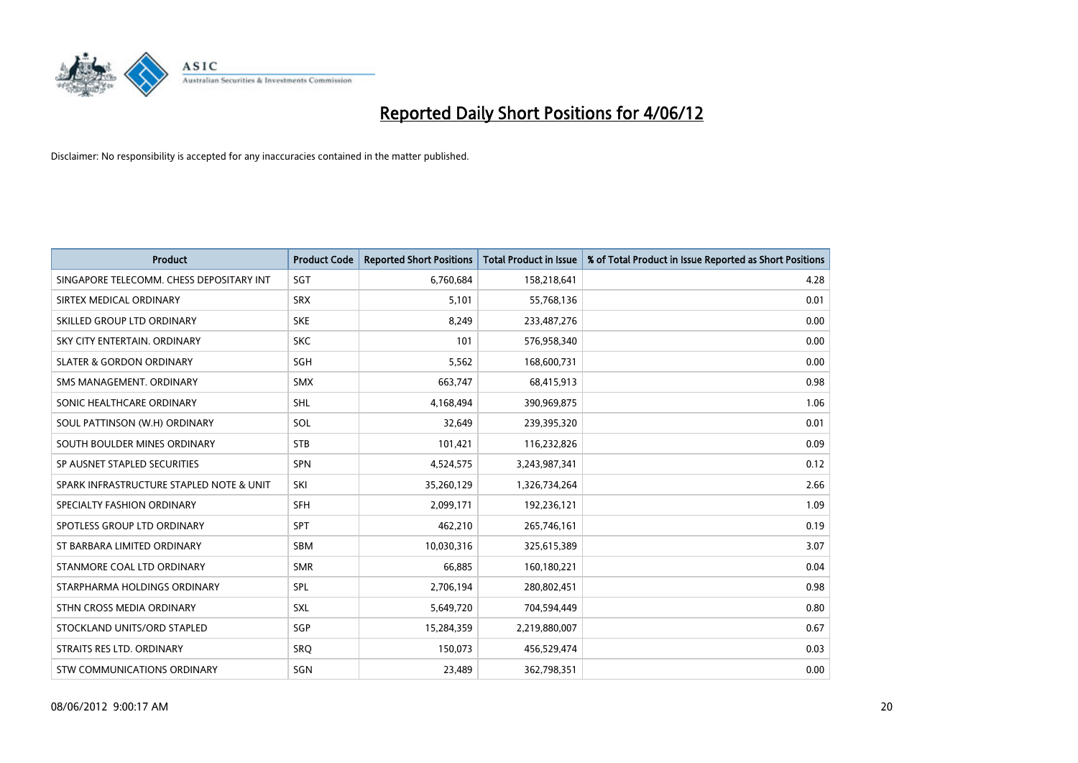

| <b>Product</b>                           | <b>Product Code</b> | <b>Reported Short Positions</b> | <b>Total Product in Issue</b> | % of Total Product in Issue Reported as Short Positions |
|------------------------------------------|---------------------|---------------------------------|-------------------------------|---------------------------------------------------------|
| SINGAPORE TELECOMM. CHESS DEPOSITARY INT | SGT                 | 6,760,684                       | 158,218,641                   | 4.28                                                    |
| SIRTEX MEDICAL ORDINARY                  | <b>SRX</b>          | 5,101                           | 55,768,136                    | 0.01                                                    |
| SKILLED GROUP LTD ORDINARY               | <b>SKE</b>          | 8,249                           | 233,487,276                   | 0.00                                                    |
| SKY CITY ENTERTAIN, ORDINARY             | <b>SKC</b>          | 101                             | 576,958,340                   | 0.00                                                    |
| <b>SLATER &amp; GORDON ORDINARY</b>      | SGH                 | 5,562                           | 168,600,731                   | 0.00                                                    |
| SMS MANAGEMENT, ORDINARY                 | <b>SMX</b>          | 663,747                         | 68,415,913                    | 0.98                                                    |
| SONIC HEALTHCARE ORDINARY                | <b>SHL</b>          | 4,168,494                       | 390,969,875                   | 1.06                                                    |
| SOUL PATTINSON (W.H) ORDINARY            | SOL                 | 32,649                          | 239,395,320                   | 0.01                                                    |
| SOUTH BOULDER MINES ORDINARY             | <b>STB</b>          | 101,421                         | 116,232,826                   | 0.09                                                    |
| SP AUSNET STAPLED SECURITIES             | <b>SPN</b>          | 4,524,575                       | 3,243,987,341                 | 0.12                                                    |
| SPARK INFRASTRUCTURE STAPLED NOTE & UNIT | SKI                 | 35,260,129                      | 1,326,734,264                 | 2.66                                                    |
| SPECIALTY FASHION ORDINARY               | <b>SFH</b>          | 2,099,171                       | 192,236,121                   | 1.09                                                    |
| SPOTLESS GROUP LTD ORDINARY              | <b>SPT</b>          | 462,210                         | 265,746,161                   | 0.19                                                    |
| ST BARBARA LIMITED ORDINARY              | SBM                 | 10,030,316                      | 325,615,389                   | 3.07                                                    |
| STANMORE COAL LTD ORDINARY               | <b>SMR</b>          | 66,885                          | 160,180,221                   | 0.04                                                    |
| STARPHARMA HOLDINGS ORDINARY             | SPL                 | 2,706,194                       | 280,802,451                   | 0.98                                                    |
| STHN CROSS MEDIA ORDINARY                | SXL                 | 5,649,720                       | 704,594,449                   | 0.80                                                    |
| STOCKLAND UNITS/ORD STAPLED              | SGP                 | 15,284,359                      | 2,219,880,007                 | 0.67                                                    |
| STRAITS RES LTD. ORDINARY                | <b>SRO</b>          | 150,073                         | 456,529,474                   | 0.03                                                    |
| STW COMMUNICATIONS ORDINARY              | SGN                 | 23,489                          | 362,798,351                   | 0.00                                                    |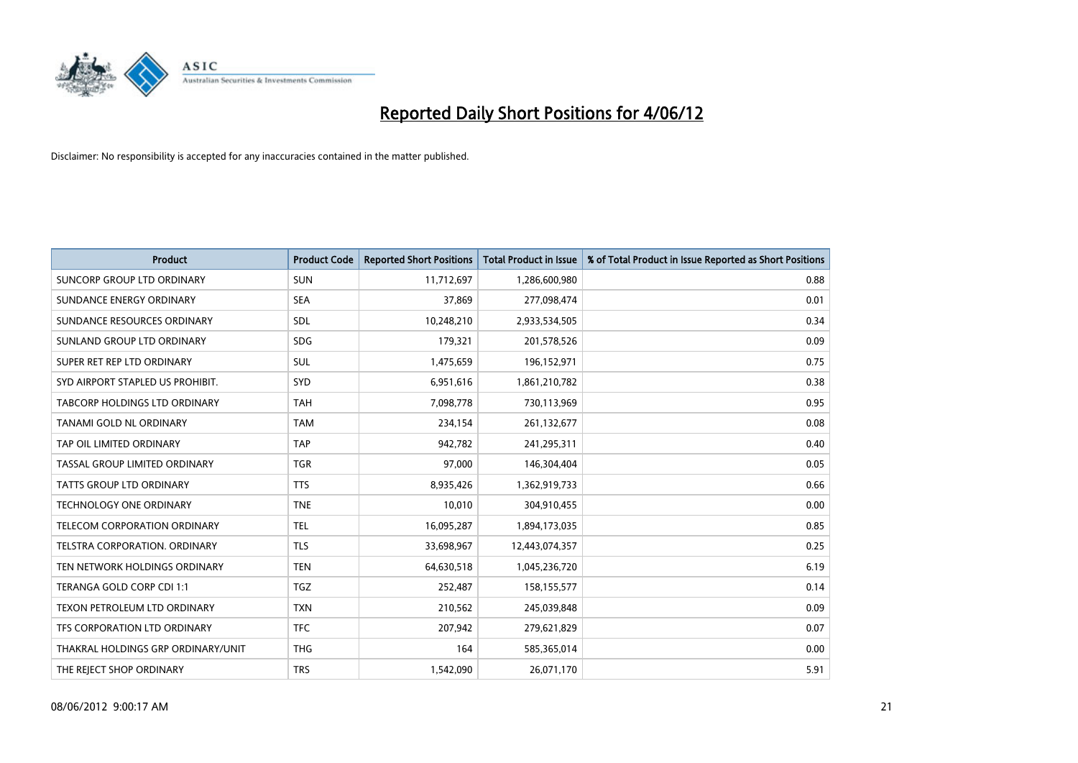

| <b>Product</b>                     | <b>Product Code</b> | <b>Reported Short Positions</b> | <b>Total Product in Issue</b> | % of Total Product in Issue Reported as Short Positions |
|------------------------------------|---------------------|---------------------------------|-------------------------------|---------------------------------------------------------|
| <b>SUNCORP GROUP LTD ORDINARY</b>  | <b>SUN</b>          | 11,712,697                      | 1,286,600,980                 | 0.88                                                    |
| SUNDANCE ENERGY ORDINARY           | <b>SEA</b>          | 37,869                          | 277,098,474                   | 0.01                                                    |
| SUNDANCE RESOURCES ORDINARY        | <b>SDL</b>          | 10,248,210                      | 2,933,534,505                 | 0.34                                                    |
| SUNLAND GROUP LTD ORDINARY         | <b>SDG</b>          | 179,321                         | 201,578,526                   | 0.09                                                    |
| SUPER RET REP LTD ORDINARY         | SUL                 | 1,475,659                       | 196,152,971                   | 0.75                                                    |
| SYD AIRPORT STAPLED US PROHIBIT.   | <b>SYD</b>          | 6,951,616                       | 1,861,210,782                 | 0.38                                                    |
| TABCORP HOLDINGS LTD ORDINARY      | <b>TAH</b>          | 7,098,778                       | 730,113,969                   | 0.95                                                    |
| TANAMI GOLD NL ORDINARY            | <b>TAM</b>          | 234,154                         | 261,132,677                   | 0.08                                                    |
| TAP OIL LIMITED ORDINARY           | <b>TAP</b>          | 942,782                         | 241,295,311                   | 0.40                                                    |
| TASSAL GROUP LIMITED ORDINARY      | <b>TGR</b>          | 97,000                          | 146,304,404                   | 0.05                                                    |
| TATTS GROUP LTD ORDINARY           | <b>TTS</b>          | 8,935,426                       | 1,362,919,733                 | 0.66                                                    |
| <b>TECHNOLOGY ONE ORDINARY</b>     | <b>TNE</b>          | 10,010                          | 304,910,455                   | 0.00                                                    |
| TELECOM CORPORATION ORDINARY       | <b>TEL</b>          | 16,095,287                      | 1,894,173,035                 | 0.85                                                    |
| TELSTRA CORPORATION, ORDINARY      | <b>TLS</b>          | 33,698,967                      | 12,443,074,357                | 0.25                                                    |
| TEN NETWORK HOLDINGS ORDINARY      | <b>TEN</b>          | 64,630,518                      | 1,045,236,720                 | 6.19                                                    |
| TERANGA GOLD CORP CDI 1:1          | <b>TGZ</b>          | 252,487                         | 158,155,577                   | 0.14                                                    |
| TEXON PETROLEUM LTD ORDINARY       | <b>TXN</b>          | 210,562                         | 245,039,848                   | 0.09                                                    |
| TFS CORPORATION LTD ORDINARY       | <b>TFC</b>          | 207,942                         | 279,621,829                   | 0.07                                                    |
| THAKRAL HOLDINGS GRP ORDINARY/UNIT | <b>THG</b>          | 164                             | 585,365,014                   | 0.00                                                    |
| THE REJECT SHOP ORDINARY           | <b>TRS</b>          | 1,542,090                       | 26,071,170                    | 5.91                                                    |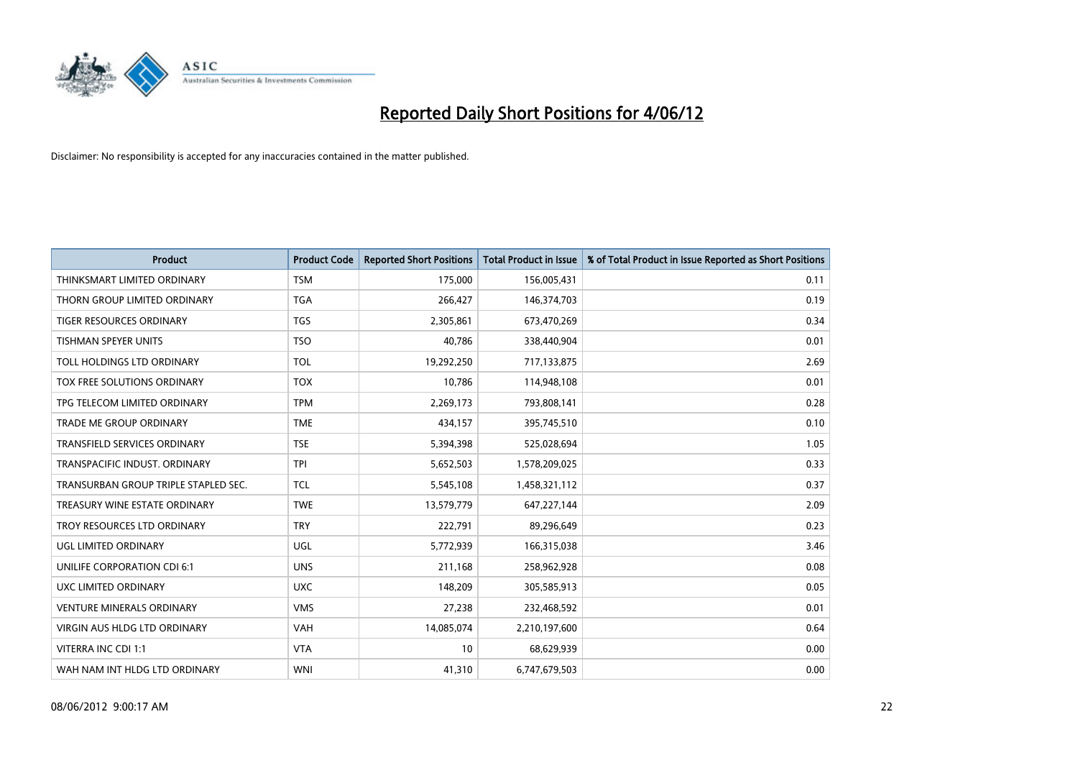

| <b>Product</b>                       | <b>Product Code</b> | <b>Reported Short Positions</b> | <b>Total Product in Issue</b> | % of Total Product in Issue Reported as Short Positions |
|--------------------------------------|---------------------|---------------------------------|-------------------------------|---------------------------------------------------------|
| THINKSMART LIMITED ORDINARY          | <b>TSM</b>          | 175,000                         | 156,005,431                   | 0.11                                                    |
| THORN GROUP LIMITED ORDINARY         | TGA                 | 266,427                         | 146,374,703                   | 0.19                                                    |
| <b>TIGER RESOURCES ORDINARY</b>      | <b>TGS</b>          | 2,305,861                       | 673,470,269                   | 0.34                                                    |
| TISHMAN SPEYER UNITS                 | <b>TSO</b>          | 40,786                          | 338,440,904                   | 0.01                                                    |
| TOLL HOLDINGS LTD ORDINARY           | <b>TOL</b>          | 19,292,250                      | 717,133,875                   | 2.69                                                    |
| TOX FREE SOLUTIONS ORDINARY          | <b>TOX</b>          | 10,786                          | 114,948,108                   | 0.01                                                    |
| TPG TELECOM LIMITED ORDINARY         | <b>TPM</b>          | 2,269,173                       | 793,808,141                   | 0.28                                                    |
| TRADE ME GROUP ORDINARY              | <b>TME</b>          | 434,157                         | 395,745,510                   | 0.10                                                    |
| <b>TRANSFIELD SERVICES ORDINARY</b>  | <b>TSE</b>          | 5,394,398                       | 525,028,694                   | 1.05                                                    |
| TRANSPACIFIC INDUST, ORDINARY        | <b>TPI</b>          | 5,652,503                       | 1,578,209,025                 | 0.33                                                    |
| TRANSURBAN GROUP TRIPLE STAPLED SEC. | <b>TCL</b>          | 5,545,108                       | 1,458,321,112                 | 0.37                                                    |
| TREASURY WINE ESTATE ORDINARY        | <b>TWE</b>          | 13,579,779                      | 647,227,144                   | 2.09                                                    |
| TROY RESOURCES LTD ORDINARY          | <b>TRY</b>          | 222,791                         | 89,296,649                    | 0.23                                                    |
| UGL LIMITED ORDINARY                 | UGL                 | 5,772,939                       | 166,315,038                   | 3.46                                                    |
| UNILIFE CORPORATION CDI 6:1          | <b>UNS</b>          | 211,168                         | 258,962,928                   | 0.08                                                    |
| UXC LIMITED ORDINARY                 | <b>UXC</b>          | 148,209                         | 305,585,913                   | 0.05                                                    |
| <b>VENTURE MINERALS ORDINARY</b>     | <b>VMS</b>          | 27,238                          | 232,468,592                   | 0.01                                                    |
| <b>VIRGIN AUS HLDG LTD ORDINARY</b>  | <b>VAH</b>          | 14,085,074                      | 2,210,197,600                 | 0.64                                                    |
| VITERRA INC CDI 1:1                  | <b>VTA</b>          | 10                              | 68,629,939                    | 0.00                                                    |
| WAH NAM INT HLDG LTD ORDINARY        | <b>WNI</b>          | 41,310                          | 6,747,679,503                 | 0.00                                                    |